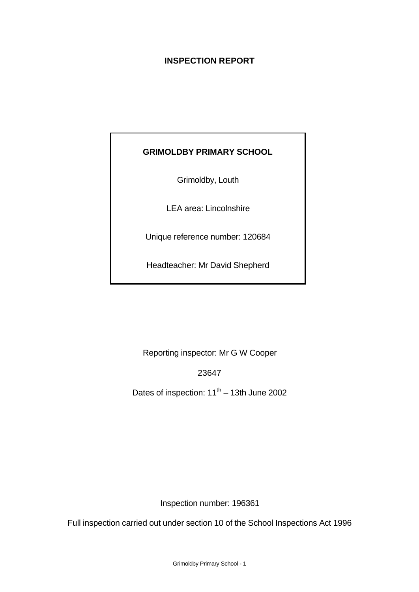# **INSPECTION REPORT**

# **GRIMOLDBY PRIMARY SCHOOL**

Grimoldby, Louth

LEA area: Lincolnshire

Unique reference number: 120684

Headteacher: Mr David Shepherd

Reporting inspector: Mr G W Cooper

23647

Dates of inspection:  $11<sup>th</sup> - 13th$  June 2002

Inspection number: 196361

Full inspection carried out under section 10 of the School Inspections Act 1996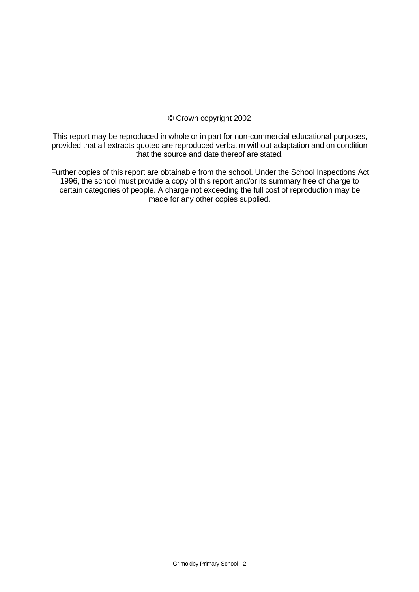# © Crown copyright 2002

This report may be reproduced in whole or in part for non-commercial educational purposes, provided that all extracts quoted are reproduced verbatim without adaptation and on condition that the source and date thereof are stated.

Further copies of this report are obtainable from the school. Under the School Inspections Act 1996, the school must provide a copy of this report and/or its summary free of charge to certain categories of people. A charge not exceeding the full cost of reproduction may be made for any other copies supplied.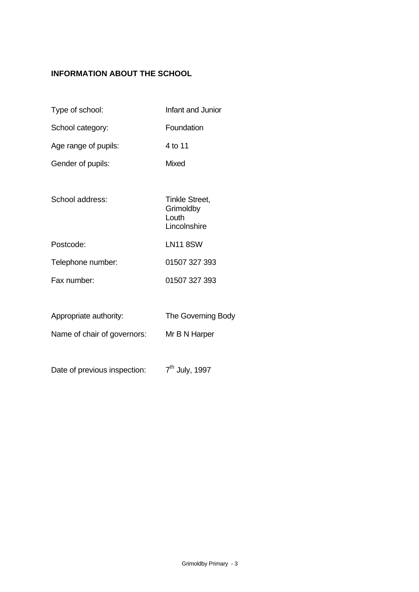# **INFORMATION ABOUT THE SCHOOL**

- Type of school: Infant and Junior School category: Foundation Age range of pupils: 4 to 11 Gender of pupils: Mixed School address: Tinkle Street, **Grimoldby** Louth **Lincolnshire** Postcode: LN11 8SW Telephone number: 01507 327 393 Fax number: 01507 327 393 Appropriate authority: The Governing Body Name of chair of governors: Mr B N Harper
- Date of previous inspection:  $7<sup>th</sup>$  July, 1997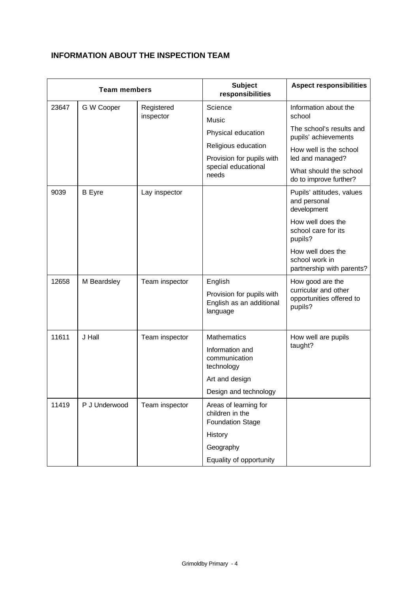# **INFORMATION ABOUT THE INSPECTION TEAM**

| <b>Team members</b> |               |                         | <b>Subject</b><br>responsibilities                                                                              | <b>Aspect responsibilities</b>                                                  |
|---------------------|---------------|-------------------------|-----------------------------------------------------------------------------------------------------------------|---------------------------------------------------------------------------------|
| 23647               | G W Cooper    | Registered<br>inspector | Science<br>Music                                                                                                | Information about the<br>school                                                 |
|                     |               |                         | Physical education                                                                                              | The school's results and<br>pupils' achievements                                |
|                     |               |                         | Religious education<br>Provision for pupils with                                                                | How well is the school<br>led and managed?                                      |
|                     |               |                         | special educational<br>needs                                                                                    | What should the school<br>do to improve further?                                |
| 9039                | <b>B</b> Eyre | Lay inspector           |                                                                                                                 | Pupils' attitudes, values<br>and personal<br>development                        |
|                     |               |                         |                                                                                                                 | How well does the<br>school care for its<br>pupils?                             |
|                     |               |                         |                                                                                                                 | How well does the<br>school work in<br>partnership with parents?                |
| 12658               | M Beardsley   | Team inspector          | English<br>Provision for pupils with<br>English as an additional<br>language                                    | How good are the<br>curricular and other<br>opportunities offered to<br>pupils? |
| 11611               | J Hall        | Team inspector          | <b>Mathematics</b><br>Information and<br>communication<br>technology<br>Art and design<br>Design and technology | How well are pupils<br>taught?                                                  |
| 11419               | P J Underwood | Team inspector          | Areas of learning for                                                                                           |                                                                                 |
|                     |               |                         | children in the<br><b>Foundation Stage</b>                                                                      |                                                                                 |
|                     |               |                         | History                                                                                                         |                                                                                 |
|                     |               |                         | Geography                                                                                                       |                                                                                 |
|                     |               |                         | Equality of opportunity                                                                                         |                                                                                 |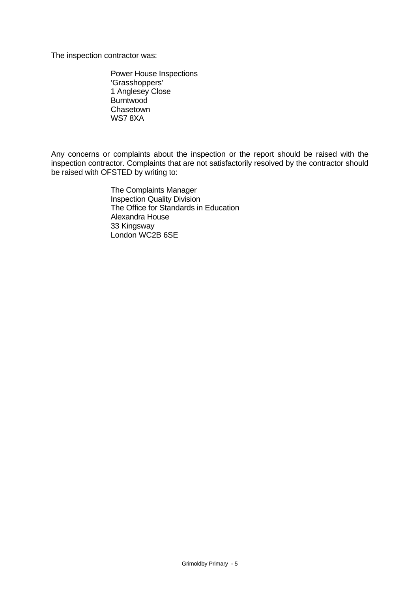The inspection contractor was:

Power House Inspections 'Grasshoppers' 1 Anglesey Close Burntwood Chasetown WS7 8XA

Any concerns or complaints about the inspection or the report should be raised with the inspection contractor. Complaints that are not satisfactorily resolved by the contractor should be raised with OFSTED by writing to:

> The Complaints Manager Inspection Quality Division The Office for Standards in Education Alexandra House 33 Kingsway London WC2B 6SE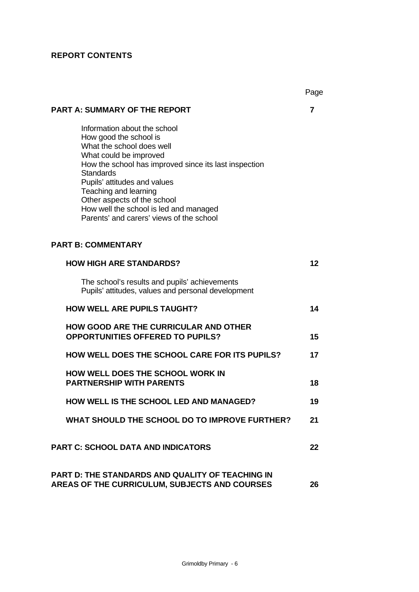# **REPORT CONTENTS**

|                                                                                                                                                                                                                                                                                                                                                                          | Page |
|--------------------------------------------------------------------------------------------------------------------------------------------------------------------------------------------------------------------------------------------------------------------------------------------------------------------------------------------------------------------------|------|
| <b>PART A: SUMMARY OF THE REPORT</b>                                                                                                                                                                                                                                                                                                                                     | 7    |
| Information about the school<br>How good the school is<br>What the school does well<br>What could be improved<br>How the school has improved since its last inspection<br><b>Standards</b><br>Pupils' attitudes and values<br>Teaching and learning<br>Other aspects of the school<br>How well the school is led and managed<br>Parents' and carers' views of the school |      |
| <b>PART B: COMMENTARY</b>                                                                                                                                                                                                                                                                                                                                                |      |
| <b>HOW HIGH ARE STANDARDS?</b>                                                                                                                                                                                                                                                                                                                                           | 12   |
| The school's results and pupils' achievements<br>Pupils' attitudes, values and personal development                                                                                                                                                                                                                                                                      |      |
| <b>HOW WELL ARE PUPILS TAUGHT?</b>                                                                                                                                                                                                                                                                                                                                       | 14   |
| <b>HOW GOOD ARE THE CURRICULAR AND OTHER</b><br><b>OPPORTUNITIES OFFERED TO PUPILS?</b>                                                                                                                                                                                                                                                                                  | 15   |
| <b>HOW WELL DOES THE SCHOOL CARE FOR ITS PUPILS?</b>                                                                                                                                                                                                                                                                                                                     | 17   |
| HOW WELL DOES THE SCHOOL WORK IN<br><b>PARTNERSHIP WITH PARENTS</b>                                                                                                                                                                                                                                                                                                      | 18   |
| HOW WELL IS THE SCHOOL LED AND MANAGED?                                                                                                                                                                                                                                                                                                                                  | 19   |
| WHAT SHOULD THE SCHOOL DO TO IMPROVE FURTHER?                                                                                                                                                                                                                                                                                                                            | 21   |
| <b>PART C: SCHOOL DATA AND INDICATORS</b>                                                                                                                                                                                                                                                                                                                                | 22   |
| <b>PART D: THE STANDARDS AND QUALITY OF TEACHING IN</b><br>AREAS OF THE CURRICULUM, SUBJECTS AND COURSES                                                                                                                                                                                                                                                                 | 26   |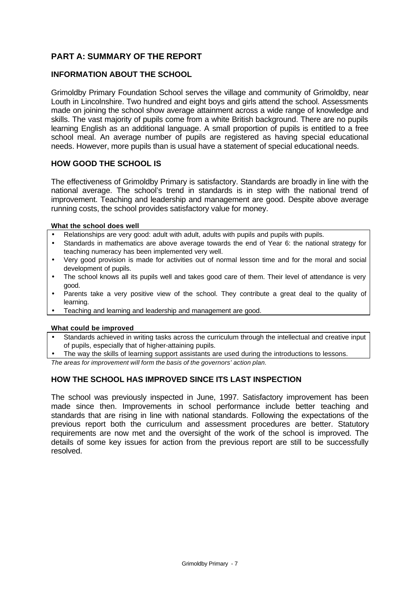# **PART A: SUMMARY OF THE REPORT**

# **INFORMATION ABOUT THE SCHOOL**

Grimoldby Primary Foundation School serves the village and community of Grimoldby, near Louth in Lincolnshire. Two hundred and eight boys and girls attend the school. Assessments made on joining the school show average attainment across a wide range of knowledge and skills. The vast majority of pupils come from a white British background. There are no pupils learning English as an additional language. A small proportion of pupils is entitled to a free school meal. An average number of pupils are registered as having special educational needs. However, more pupils than is usual have a statement of special educational needs.

#### **HOW GOOD THE SCHOOL IS**

The effectiveness of Grimoldby Primary is satisfactory. Standards are broadly in line with the national average. The school's trend in standards is in step with the national trend of improvement. Teaching and leadership and management are good. Despite above average running costs, the school provides satisfactory value for money.

#### **What the school does well**

- Relationships are very good: adult with adult, adults with pupils and pupils with pupils.
- Standards in mathematics are above average towards the end of Year 6: the national strategy for teaching numeracy has been implemented very well.
- Very good provision is made for activities out of normal lesson time and for the moral and social development of pupils.
- The school knows all its pupils well and takes good care of them. Their level of attendance is very good.
- Parents take a very positive view of the school. They contribute a great deal to the quality of learning.
- Teaching and learning and leadership and management are good.

#### **What could be improved**

- Standards achieved in writing tasks across the curriculum through the intellectual and creative input of pupils, especially that of higher-attaining pupils.
- The way the skills of learning support assistants are used during the introductions to lessons.

*The areas for improvement will form the basis of the governors' action plan.*

## **HOW THE SCHOOL HAS IMPROVED SINCE ITS LAST INSPECTION**

The school was previously inspected in June, 1997. Satisfactory improvement has been made since then. Improvements in school performance include better teaching and standards that are rising in line with national standards. Following the expectations of the previous report both the curriculum and assessment procedures are better. Statutory requirements are now met and the oversight of the work of the school is improved. The details of some key issues for action from the previous report are still to be successfully resolved.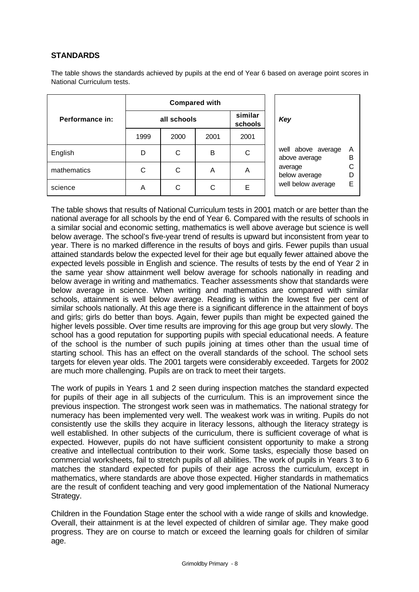# **STANDARDS**

The table shows the standards achieved by pupils at the end of Year 6 based on average point scores in National Curriculum tests.

|                 | <b>Compared with</b> |                    |      |      |              |  |
|-----------------|----------------------|--------------------|------|------|--------------|--|
| Performance in: | all schools          | similar<br>schools | Key  |      |              |  |
|                 | 1999                 | 2000               | 2001 | 2001 |              |  |
| English         | D                    | С                  | B    | С    | well<br>abo  |  |
| mathematics     | C                    | C                  | Α    | Α    | aver<br>belo |  |
| science         | Α                    | С                  | C    | Е    | well         |  |

| Key                                                                                   |                       |
|---------------------------------------------------------------------------------------|-----------------------|
| well above average<br>above average<br>average<br>below average<br>well below average | А<br>в<br>C<br>D<br>F |

The table shows that results of National Curriculum tests in 2001 match or are better than the national average for all schools by the end of Year 6. Compared with the results of schools in a similar social and economic setting, mathematics is well above average but science is well below average. The school's five-year trend of results is upward but inconsistent from year to year. There is no marked difference in the results of boys and girls. Fewer pupils than usual attained standards below the expected level for their age but equally fewer attained above the expected levels possible in English and science. The results of tests by the end of Year 2 in the same year show attainment well below average for schools nationally in reading and below average in writing and mathematics. Teacher assessments show that standards were below average in science. When writing and mathematics are compared with similar schools, attainment is well below average. Reading is within the lowest five per cent of similar schools nationally. At this age there is a significant difference in the attainment of boys and girls; girls do better than boys. Again, fewer pupils than might be expected gained the higher levels possible. Over time results are improving for this age group but very slowly. The school has a good reputation for supporting pupils with special educational needs. A feature of the school is the number of such pupils joining at times other than the usual time of starting school. This has an effect on the overall standards of the school. The school sets targets for eleven year olds. The 2001 targets were considerably exceeded. Targets for 2002 are much more challenging. Pupils are on track to meet their targets.

The work of pupils in Years 1 and 2 seen during inspection matches the standard expected for pupils of their age in all subjects of the curriculum. This is an improvement since the previous inspection. The strongest work seen was in mathematics. The national strategy for numeracy has been implemented very well. The weakest work was in writing. Pupils do not consistently use the skills they acquire in literacy lessons, although the literacy strategy is well established. In other subjects of the curriculum, there is sufficient coverage of what is expected. However, pupils do not have sufficient consistent opportunity to make a strong creative and intellectual contribution to their work. Some tasks, especially those based on commercial worksheets, fail to stretch pupils of all abilities. The work of pupils in Years 3 to 6 matches the standard expected for pupils of their age across the curriculum, except in mathematics, where standards are above those expected. Higher standards in mathematics are the result of confident teaching and very good implementation of the National Numeracy Strategy.

Children in the Foundation Stage enter the school with a wide range of skills and knowledge. Overall, their attainment is at the level expected of children of similar age. They make good progress. They are on course to match or exceed the learning goals for children of similar age.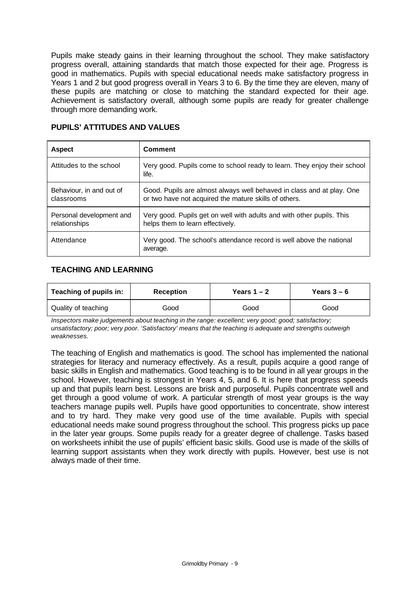Pupils make steady gains in their learning throughout the school. They make satisfactory progress overall, attaining standards that match those expected for their age. Progress is good in mathematics. Pupils with special educational needs make satisfactory progress in Years 1 and 2 but good progress overall in Years 3 to 6. By the time they are eleven, many of these pupils are matching or close to matching the standard expected for their age. Achievement is satisfactory overall, although some pupils are ready for greater challenge through more demanding work.

| <b>Aspect</b>                             | Comment                                                                                                                        |
|-------------------------------------------|--------------------------------------------------------------------------------------------------------------------------------|
| Attitudes to the school                   | Very good. Pupils come to school ready to learn. They enjoy their school<br>life.                                              |
| Behaviour, in and out of<br>classrooms    | Good. Pupils are almost always well behaved in class and at play. One<br>or two have not acquired the mature skills of others. |
| Personal development and<br>relationships | Very good. Pupils get on well with adults and with other pupils. This<br>helps them to learn effectively.                      |
| Attendance                                | Very good. The school's attendance record is well above the national<br>average.                                               |

## **PUPILS' ATTITUDES AND VALUES**

# **TEACHING AND LEARNING**

| Teaching of pupils in: | <b>Reception</b> | Years $1 - 2$ | Years $3-6$ |  |
|------------------------|------------------|---------------|-------------|--|
| Quality of teaching    | Good             | Good          | Good        |  |

*Inspectors make judgements about teaching in the range: excellent; very good; good; satisfactory; unsatisfactory; poor; very poor. 'Satisfactory' means that the teaching is adequate and strengths outweigh weaknesses.*

The teaching of English and mathematics is good. The school has implemented the national strategies for literacy and numeracy effectively. As a result, pupils acquire a good range of basic skills in English and mathematics. Good teaching is to be found in all year groups in the school. However, teaching is strongest in Years 4, 5, and 6. It is here that progress speeds up and that pupils learn best. Lessons are brisk and purposeful. Pupils concentrate well and get through a good volume of work. A particular strength of most year groups is the way teachers manage pupils well. Pupils have good opportunities to concentrate, show interest and to try hard. They make very good use of the time available. Pupils with special educational needs make sound progress throughout the school. This progress picks up pace in the later year groups. Some pupils ready for a greater degree of challenge. Tasks based on worksheets inhibit the use of pupils' efficient basic skills. Good use is made of the skills of learning support assistants when they work directly with pupils. However, best use is not always made of their time.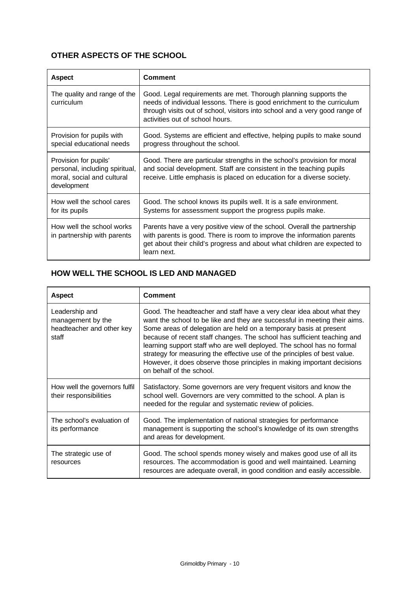# **OTHER ASPECTS OF THE SCHOOL**

| <b>Aspect</b>                                                                                        | <b>Comment</b>                                                                                                                                                                                                                                                |
|------------------------------------------------------------------------------------------------------|---------------------------------------------------------------------------------------------------------------------------------------------------------------------------------------------------------------------------------------------------------------|
| The quality and range of the<br>curriculum                                                           | Good. Legal requirements are met. Thorough planning supports the<br>needs of individual lessons. There is good enrichment to the curriculum<br>through visits out of school, visitors into school and a very good range of<br>activities out of school hours. |
| Provision for pupils with<br>special educational needs                                               | Good. Systems are efficient and effective, helping pupils to make sound<br>progress throughout the school.                                                                                                                                                    |
| Provision for pupils'<br>personal, including spiritual,<br>moral, social and cultural<br>development | Good. There are particular strengths in the school's provision for moral<br>and social development. Staff are consistent in the teaching pupils<br>receive. Little emphasis is placed on education for a diverse society.                                     |
| How well the school cares<br>for its pupils                                                          | Good. The school knows its pupils well. It is a safe environment.<br>Systems for assessment support the progress pupils make.                                                                                                                                 |
| How well the school works<br>in partnership with parents                                             | Parents have a very positive view of the school. Overall the partnership<br>with parents is good. There is room to improve the information parents<br>get about their child's progress and about what children are expected to<br>learn next.                 |

# **HOW WELL THE SCHOOL IS LED AND MANAGED**

| <b>Aspect</b>                                                             | <b>Comment</b>                                                                                                                                                                                                                                                                                                                                                                                                                                                                                                                                                    |
|---------------------------------------------------------------------------|-------------------------------------------------------------------------------------------------------------------------------------------------------------------------------------------------------------------------------------------------------------------------------------------------------------------------------------------------------------------------------------------------------------------------------------------------------------------------------------------------------------------------------------------------------------------|
| Leadership and<br>management by the<br>headteacher and other key<br>staff | Good. The headteacher and staff have a very clear idea about what they<br>want the school to be like and they are successful in meeting their aims.<br>Some areas of delegation are held on a temporary basis at present<br>because of recent staff changes. The school has sufficient teaching and<br>learning support staff who are well deployed. The school has no formal<br>strategy for measuring the effective use of the principles of best value.<br>However, it does observe those principles in making important decisions<br>on behalf of the school. |
| How well the governors fulfil<br>their responsibilities                   | Satisfactory. Some governors are very frequent visitors and know the<br>school well. Governors are very committed to the school. A plan is<br>needed for the regular and systematic review of policies.                                                                                                                                                                                                                                                                                                                                                           |
| The school's evaluation of<br>its performance                             | Good. The implementation of national strategies for performance<br>management is supporting the school's knowledge of its own strengths<br>and areas for development.                                                                                                                                                                                                                                                                                                                                                                                             |
| The strategic use of<br>resources                                         | Good. The school spends money wisely and makes good use of all its<br>resources. The accommodation is good and well maintained. Learning<br>resources are adequate overall, in good condition and easily accessible.                                                                                                                                                                                                                                                                                                                                              |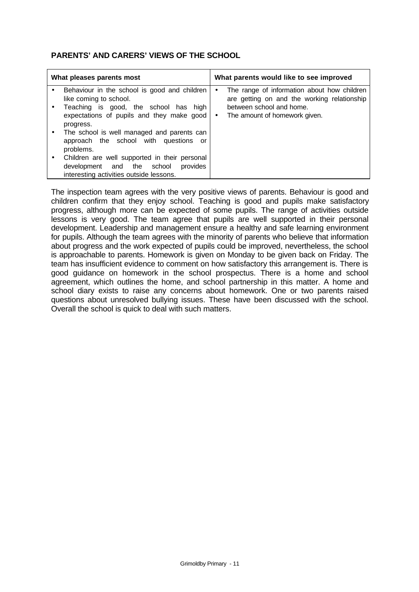# **PARENTS' AND CARERS' VIEWS OF THE SCHOOL**

| What pleases parents most |                                                                                                                                                                           |        | What parents would like to see improved                                                                                                                 |
|---------------------------|---------------------------------------------------------------------------------------------------------------------------------------------------------------------------|--------|---------------------------------------------------------------------------------------------------------------------------------------------------------|
| $\bullet$                 | Behaviour in the school is good and children<br>like coming to school.<br>Teaching is good, the school has high<br>expectations of pupils and they make good<br>progress. | ٠<br>٠ | The range of information about how children<br>are getting on and the working relationship<br>between school and home.<br>The amount of homework given. |
|                           | The school is well managed and parents can<br>approach the school with questions or<br>problems.                                                                          |        |                                                                                                                                                         |
|                           | Children are well supported in their personal<br>provides<br>development and the school<br>interesting activities outside lessons.                                        |        |                                                                                                                                                         |

The inspection team agrees with the very positive views of parents. Behaviour is good and children confirm that they enjoy school. Teaching is good and pupils make satisfactory progress, although more can be expected of some pupils. The range of activities outside lessons is very good. The team agree that pupils are well supported in their personal development. Leadership and management ensure a healthy and safe learning environment for pupils. Although the team agrees with the minority of parents who believe that information about progress and the work expected of pupils could be improved, nevertheless, the school is approachable to parents. Homework is given on Monday to be given back on Friday. The team has insufficient evidence to comment on how satisfactory this arrangement is. There is good guidance on homework in the school prospectus. There is a home and school agreement, which outlines the home, and school partnership in this matter. A home and school diary exists to raise any concerns about homework. One or two parents raised questions about unresolved bullying issues. These have been discussed with the school. Overall the school is quick to deal with such matters.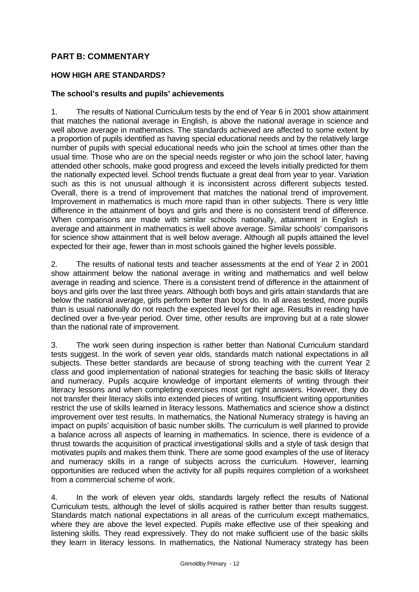# **PART B: COMMENTARY**

# **HOW HIGH ARE STANDARDS?**

## **The school's results and pupils' achievements**

1. The results of National Curriculum tests by the end of Year 6 in 2001 show attainment that matches the national average in English, is above the national average in science and well above average in mathematics. The standards achieved are affected to some extent by a proportion of pupils identified as having special educational needs and by the relatively large number of pupils with special educational needs who join the school at times other than the usual time. Those who are on the special needs register or who join the school later, having attended other schools, make good progress and exceed the levels initially predicted for them the nationally expected level. School trends fluctuate a great deal from year to year. Variation such as this is not unusual although it is inconsistent across different subjects tested. Overall, there is a trend of improvement that matches the national trend of improvement. Improvement in mathematics is much more rapid than in other subjects. There is very little difference in the attainment of boys and girls and there is no consistent trend of difference. When comparisons are made with similar schools nationally, attainment in English is average and attainment in mathematics is well above average. Similar schools' comparisons for science show attainment that is well below average. Although all pupils attained the level expected for their age, fewer than in most schools gained the higher levels possible.

2. The results of national tests and teacher assessments at the end of Year 2 in 2001 show attainment below the national average in writing and mathematics and well below average in reading and science. There is a consistent trend of difference in the attainment of boys and girls over the last three years. Although both boys and girls attain standards that are below the national average, girls perform better than boys do. In all areas tested, more pupils than is usual nationally do not reach the expected level for their age. Results in reading have declined over a five-year period. Over time, other results are improving but at a rate slower than the national rate of improvement.

3. The work seen during inspection is rather better than National Curriculum standard tests suggest. In the work of seven year olds, standards match national expectations in all subjects. These better standards are because of strong teaching with the current Year 2 class and good implementation of national strategies for teaching the basic skills of literacy and numeracy. Pupils acquire knowledge of important elements of writing through their literacy lessons and when completing exercises most get right answers. However, they do not transfer their literacy skills into extended pieces of writing. Insufficient writing opportunities restrict the use of skills learned in literacy lessons. Mathematics and science show a distinct improvement over test results. In mathematics, the National Numeracy strategy is having an impact on pupils' acquisition of basic number skills. The curriculum is well planned to provide a balance across all aspects of learning in mathematics. In science, there is evidence of a thrust towards the acquisition of practical investigational skills and a style of task design that motivates pupils and makes them think. There are some good examples of the use of literacy and numeracy skills in a range of subjects across the curriculum. However, learning opportunities are reduced when the activity for all pupils requires completion of a worksheet from a commercial scheme of work.

4. In the work of eleven year olds, standards largely reflect the results of National Curriculum tests, although the level of skills acquired is rather better than results suggest. Standards match national expectations in all areas of the curriculum except mathematics, where they are above the level expected. Pupils make effective use of their speaking and listening skills. They read expressively. They do not make sufficient use of the basic skills they learn in literacy lessons. In mathematics, the National Numeracy strategy has been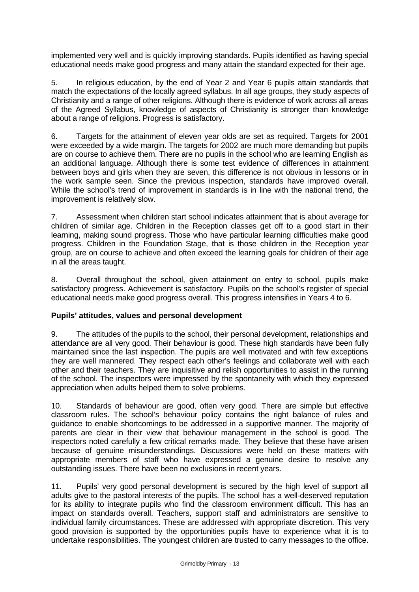implemented very well and is quickly improving standards. Pupils identified as having special educational needs make good progress and many attain the standard expected for their age.

5. In religious education, by the end of Year 2 and Year 6 pupils attain standards that match the expectations of the locally agreed syllabus. In all age groups, they study aspects of Christianity and a range of other religions. Although there is evidence of work across all areas of the Agreed Syllabus, knowledge of aspects of Christianity is stronger than knowledge about a range of religions. Progress is satisfactory.

6. Targets for the attainment of eleven year olds are set as required. Targets for 2001 were exceeded by a wide margin. The targets for 2002 are much more demanding but pupils are on course to achieve them. There are no pupils in the school who are learning English as an additional language. Although there is some test evidence of differences in attainment between boys and girls when they are seven, this difference is not obvious in lessons or in the work sample seen. Since the previous inspection, standards have improved overall. While the school's trend of improvement in standards is in line with the national trend, the improvement is relatively slow.

7. Assessment when children start school indicates attainment that is about average for children of similar age. Children in the Reception classes get off to a good start in their learning, making sound progress. Those who have particular learning difficulties make good progress. Children in the Foundation Stage, that is those children in the Reception year group, are on course to achieve and often exceed the learning goals for children of their age in all the areas taught.

8. Overall throughout the school, given attainment on entry to school, pupils make satisfactory progress. Achievement is satisfactory. Pupils on the school's register of special educational needs make good progress overall. This progress intensifies in Years 4 to 6.

## **Pupils' attitudes, values and personal development**

9. The attitudes of the pupils to the school, their personal development, relationships and attendance are all very good. Their behaviour is good. These high standards have been fully maintained since the last inspection. The pupils are well motivated and with few exceptions they are well mannered. They respect each other's feelings and collaborate well with each other and their teachers. They are inquisitive and relish opportunities to assist in the running of the school. The inspectors were impressed by the spontaneity with which they expressed appreciation when adults helped them to solve problems.

10. Standards of behaviour are good, often very good. There are simple but effective classroom rules. The school's behaviour policy contains the right balance of rules and guidance to enable shortcomings to be addressed in a supportive manner. The majority of parents are clear in their view that behaviour management in the school is good. The inspectors noted carefully a few critical remarks made. They believe that these have arisen because of genuine misunderstandings. Discussions were held on these matters with appropriate members of staff who have expressed a genuine desire to resolve any outstanding issues. There have been no exclusions in recent years.

11. Pupils' very good personal development is secured by the high level of support all adults give to the pastoral interests of the pupils. The school has a well-deserved reputation for its ability to integrate pupils who find the classroom environment difficult. This has an impact on standards overall. Teachers, support staff and administrators are sensitive to individual family circumstances. These are addressed with appropriate discretion. This very good provision is supported by the opportunities pupils have to experience what it is to undertake responsibilities. The youngest children are trusted to carry messages to the office.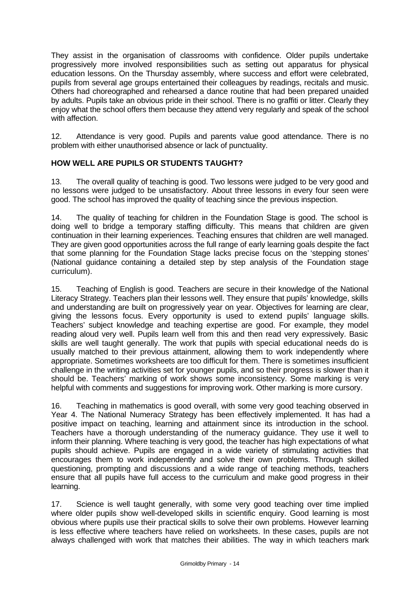They assist in the organisation of classrooms with confidence. Older pupils undertake progressively more involved responsibilities such as setting out apparatus for physical education lessons. On the Thursday assembly, where success and effort were celebrated, pupils from several age groups entertained their colleagues by readings, recitals and music. Others had choreographed and rehearsed a dance routine that had been prepared unaided by adults. Pupils take an obvious pride in their school. There is no graffiti or litter. Clearly they enjoy what the school offers them because they attend very regularly and speak of the school with affection.

12. Attendance is very good. Pupils and parents value good attendance. There is no problem with either unauthorised absence or lack of punctuality.

# **HOW WELL ARE PUPILS OR STUDENTS TAUGHT?**

13. The overall quality of teaching is good. Two lessons were judged to be very good and no lessons were judged to be unsatisfactory. About three lessons in every four seen were good. The school has improved the quality of teaching since the previous inspection.

14. The quality of teaching for children in the Foundation Stage is good. The school is doing well to bridge a temporary staffing difficulty. This means that children are given continuation in their learning experiences. Teaching ensures that children are well managed. They are given good opportunities across the full range of early learning goals despite the fact that some planning for the Foundation Stage lacks precise focus on the 'stepping stones' (National guidance containing a detailed step by step analysis of the Foundation stage curriculum).

15. Teaching of English is good. Teachers are secure in their knowledge of the National Literacy Strategy. Teachers plan their lessons well. They ensure that pupils' knowledge, skills and understanding are built on progressively year on year. Objectives for learning are clear, giving the lessons focus. Every opportunity is used to extend pupils' language skills. Teachers' subject knowledge and teaching expertise are good. For example, they model reading aloud very well. Pupils learn well from this and then read very expressively. Basic skills are well taught generally. The work that pupils with special educational needs do is usually matched to their previous attainment, allowing them to work independently where appropriate. Sometimes worksheets are too difficult for them. There is sometimes insufficient challenge in the writing activities set for younger pupils, and so their progress is slower than it should be. Teachers' marking of work shows some inconsistency. Some marking is very helpful with comments and suggestions for improving work. Other marking is more cursory.

16. Teaching in mathematics is good overall, with some very good teaching observed in Year 4. The National Numeracy Strategy has been effectively implemented. It has had a positive impact on teaching, learning and attainment since its introduction in the school. Teachers have a thorough understanding of the numeracy guidance. They use it well to inform their planning. Where teaching is very good, the teacher has high expectations of what pupils should achieve. Pupils are engaged in a wide variety of stimulating activities that encourages them to work independently and solve their own problems. Through skilled questioning, prompting and discussions and a wide range of teaching methods, teachers ensure that all pupils have full access to the curriculum and make good progress in their learning.

17. Science is well taught generally, with some very good teaching over time implied where older pupils show well-developed skills in scientific enquiry. Good learning is most obvious where pupils use their practical skills to solve their own problems. However learning is less effective where teachers have relied on worksheets. In these cases, pupils are not always challenged with work that matches their abilities. The way in which teachers mark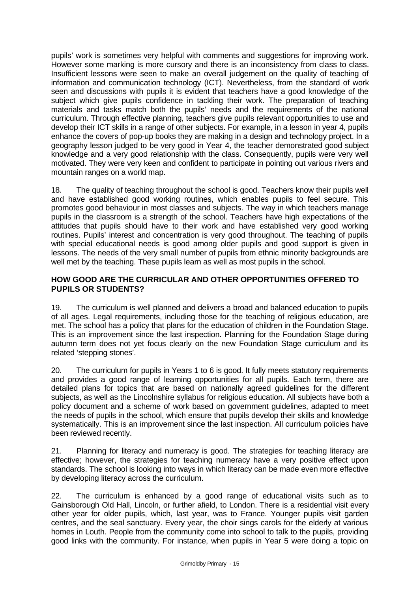pupils' work is sometimes very helpful with comments and suggestions for improving work. However some marking is more cursory and there is an inconsistency from class to class. Insufficient lessons were seen to make an overall judgement on the quality of teaching of information and communication technology (ICT). Nevertheless, from the standard of work seen and discussions with pupils it is evident that teachers have a good knowledge of the subject which give pupils confidence in tackling their work. The preparation of teaching materials and tasks match both the pupils' needs and the requirements of the national curriculum. Through effective planning, teachers give pupils relevant opportunities to use and develop their ICT skills in a range of other subjects. For example, in a lesson in year 4, pupils enhance the covers of pop-up books they are making in a design and technology project. In a geography lesson judged to be very good in Year 4, the teacher demonstrated good subject knowledge and a very good relationship with the class. Consequently, pupils were very well motivated. They were very keen and confident to participate in pointing out various rivers and mountain ranges on a world map.

18. The quality of teaching throughout the school is good. Teachers know their pupils well and have established good working routines, which enables pupils to feel secure. This promotes good behaviour in most classes and subjects. The way in which teachers manage pupils in the classroom is a strength of the school. Teachers have high expectations of the attitudes that pupils should have to their work and have established very good working routines. Pupils' interest and concentration is very good throughout. The teaching of pupils with special educational needs is good among older pupils and good support is given in lessons. The needs of the very small number of pupils from ethnic minority backgrounds are well met by the teaching. These pupils learn as well as most pupils in the school.

# **HOW GOOD ARE THE CURRICULAR AND OTHER OPPORTUNITIES OFFERED TO PUPILS OR STUDENTS?**

19. The curriculum is well planned and delivers a broad and balanced education to pupils of all ages. Legal requirements, including those for the teaching of religious education, are met. The school has a policy that plans for the education of children in the Foundation Stage. This is an improvement since the last inspection. Planning for the Foundation Stage during autumn term does not yet focus clearly on the new Foundation Stage curriculum and its related 'stepping stones'.

20. The curriculum for pupils in Years 1 to 6 is good. It fully meets statutory requirements and provides a good range of learning opportunities for all pupils. Each term, there are detailed plans for topics that are based on nationally agreed guidelines for the different subjects, as well as the Lincolnshire syllabus for religious education. All subjects have both a policy document and a scheme of work based on government guidelines, adapted to meet the needs of pupils in the school, which ensure that pupils develop their skills and knowledge systematically. This is an improvement since the last inspection. All curriculum policies have been reviewed recently.

21. Planning for literacy and numeracy is good. The strategies for teaching literacy are effective; however, the strategies for teaching numeracy have a very positive effect upon standards. The school is looking into ways in which literacy can be made even more effective by developing literacy across the curriculum.

22. The curriculum is enhanced by a good range of educational visits such as to Gainsborough Old Hall, Lincoln, or further afield, to London. There is a residential visit every other year for older pupils, which, last year, was to France. Younger pupils visit garden centres, and the seal sanctuary. Every year, the choir sings carols for the elderly at various homes in Louth. People from the community come into school to talk to the pupils, providing good links with the community. For instance, when pupils in Year 5 were doing a topic on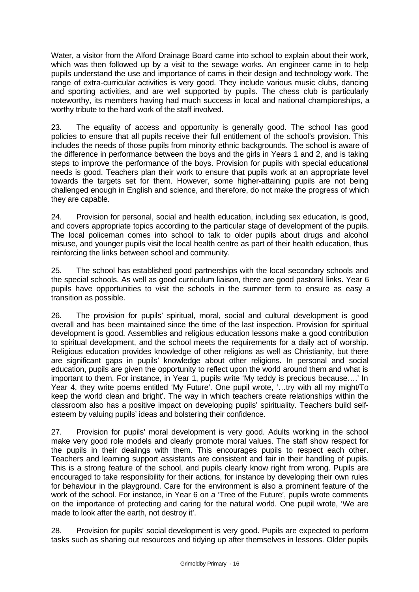Water, a visitor from the Alford Drainage Board came into school to explain about their work, which was then followed up by a visit to the sewage works. An engineer came in to help pupils understand the use and importance of cams in their design and technology work. The range of extra-curricular activities is very good. They include various music clubs, dancing and sporting activities, and are well supported by pupils. The chess club is particularly noteworthy, its members having had much success in local and national championships, a worthy tribute to the hard work of the staff involved.

23. The equality of access and opportunity is generally good. The school has good policies to ensure that all pupils receive their full entitlement of the school's provision. This includes the needs of those pupils from minority ethnic backgrounds. The school is aware of the difference in performance between the boys and the girls in Years 1 and 2, and is taking steps to improve the performance of the boys. Provision for pupils with special educational needs is good. Teachers plan their work to ensure that pupils work at an appropriate level towards the targets set for them. However, some higher-attaining pupils are not being challenged enough in English and science, and therefore, do not make the progress of which they are capable.

24. Provision for personal, social and health education, including sex education, is good, and covers appropriate topics according to the particular stage of development of the pupils. The local policeman comes into school to talk to older pupils about drugs and alcohol misuse, and younger pupils visit the local health centre as part of their health education, thus reinforcing the links between school and community.

25. The school has established good partnerships with the local secondary schools and the special schools. As well as good curriculum liaison, there are good pastoral links. Year 6 pupils have opportunities to visit the schools in the summer term to ensure as easy a transition as possible.

26. The provision for pupils' spiritual, moral, social and cultural development is good overall and has been maintained since the time of the last inspection. Provision for spiritual development is good. Assemblies and religious education lessons make a good contribution to spiritual development, and the school meets the requirements for a daily act of worship. Religious education provides knowledge of other religions as well as Christianity, but there are significant gaps in pupils' knowledge about other religions. In personal and social education, pupils are given the opportunity to reflect upon the world around them and what is important to them. For instance, in Year 1, pupils write 'My teddy is precious because….' In Year 4, they write poems entitled 'My Future'. One pupil wrote, '…try with all my might/To keep the world clean and bright'. The way in which teachers create relationships within the classroom also has a positive impact on developing pupils' spirituality. Teachers build selfesteem by valuing pupils' ideas and bolstering their confidence.

27. Provision for pupils' moral development is very good. Adults working in the school make very good role models and clearly promote moral values. The staff show respect for the pupils in their dealings with them. This encourages pupils to respect each other. Teachers and learning support assistants are consistent and fair in their handling of pupils. This is a strong feature of the school, and pupils clearly know right from wrong. Pupils are encouraged to take responsibility for their actions, for instance by developing their own rules for behaviour in the playground. Care for the environment is also a prominent feature of the work of the school. For instance, in Year 6 on a 'Tree of the Future', pupils wrote comments on the importance of protecting and caring for the natural world. One pupil wrote, 'We are made to look after the earth, not destroy it'.

28. Provision for pupils' social development is very good. Pupils are expected to perform tasks such as sharing out resources and tidying up after themselves in lessons. Older pupils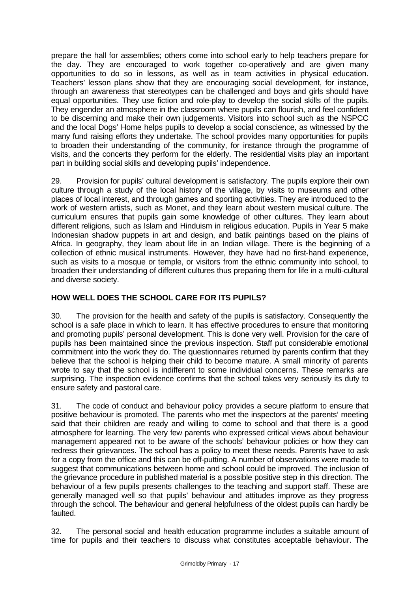prepare the hall for assemblies; others come into school early to help teachers prepare for the day. They are encouraged to work together co-operatively and are given many opportunities to do so in lessons, as well as in team activities in physical education. Teachers' lesson plans show that they are encouraging social development, for instance, through an awareness that stereotypes can be challenged and boys and girls should have equal opportunities. They use fiction and role-play to develop the social skills of the pupils. They engender an atmosphere in the classroom where pupils can flourish, and feel confident to be discerning and make their own judgements. Visitors into school such as the NSPCC and the local Dogs' Home helps pupils to develop a social conscience, as witnessed by the many fund raising efforts they undertake. The school provides many opportunities for pupils to broaden their understanding of the community, for instance through the programme of visits, and the concerts they perform for the elderly. The residential visits play an important part in building social skills and developing pupils' independence.

29. Provision for pupils' cultural development is satisfactory. The pupils explore their own culture through a study of the local history of the village, by visits to museums and other places of local interest, and through games and sporting activities. They are introduced to the work of western artists, such as Monet, and they learn about western musical culture. The curriculum ensures that pupils gain some knowledge of other cultures. They learn about different religions, such as Islam and Hinduism in religious education. Pupils in Year 5 make Indonesian shadow puppets in art and design, and batik paintings based on the plains of Africa. In geography, they learn about life in an Indian village. There is the beginning of a collection of ethnic musical instruments. However, they have had no first-hand experience, such as visits to a mosque or temple, or visitors from the ethnic community into school, to broaden their understanding of different cultures thus preparing them for life in a multi-cultural and diverse society.

# **HOW WELL DOES THE SCHOOL CARE FOR ITS PUPILS?**

30. The provision for the health and safety of the pupils is satisfactory. Consequently the school is a safe place in which to learn. It has effective procedures to ensure that monitoring and promoting pupils' personal development. This is done very well. Provision for the care of pupils has been maintained since the previous inspection. Staff put considerable emotional commitment into the work they do. The questionnaires returned by parents confirm that they believe that the school is helping their child to become mature. A small minority of parents wrote to say that the school is indifferent to some individual concerns. These remarks are surprising. The inspection evidence confirms that the school takes very seriously its duty to ensure safety and pastoral care.

31. The code of conduct and behaviour policy provides a secure platform to ensure that positive behaviour is promoted. The parents who met the inspectors at the parents' meeting said that their children are ready and willing to come to school and that there is a good atmosphere for learning. The very few parents who expressed critical views about behaviour management appeared not to be aware of the schools' behaviour policies or how they can redress their grievances. The school has a policy to meet these needs. Parents have to ask for a copy from the office and this can be off-putting. A number of observations were made to suggest that communications between home and school could be improved. The inclusion of the grievance procedure in published material is a possible positive step in this direction. The behaviour of a few pupils presents challenges to the teaching and support staff. These are generally managed well so that pupils' behaviour and attitudes improve as they progress through the school. The behaviour and general helpfulness of the oldest pupils can hardly be faulted.

32. The personal social and health education programme includes a suitable amount of time for pupils and their teachers to discuss what constitutes acceptable behaviour. The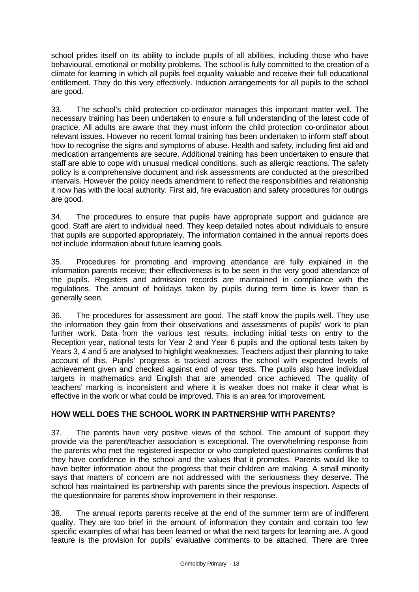school prides itself on its ability to include pupils of all abilities, including those who have behavioural, emotional or mobility problems. The school is fully committed to the creation of a climate for learning in which all pupils feel equality valuable and receive their full educational entitlement. They do this very effectively. Induction arrangements for all pupils to the school are good.

33. The school's child protection co-ordinator manages this important matter well. The necessary training has been undertaken to ensure a full understanding of the latest code of practice. All adults are aware that they must inform the child protection co-ordinator about relevant issues. However no recent formal training has been undertaken to inform staff about how to recognise the signs and symptoms of abuse. Health and safety, including first aid and medication arrangements are secure. Additional training has been undertaken to ensure that staff are able to cope with unusual medical conditions, such as allergic reactions. The safety policy is a comprehensive document and risk assessments are conducted at the prescribed intervals. However the policy needs amendment to reflect the responsibilities and relationship it now has with the local authority. First aid, fire evacuation and safety procedures for outings are good.

34. The procedures to ensure that pupils have appropriate support and guidance are good. Staff are alert to individual need. They keep detailed notes about individuals to ensure that pupils are supported appropriately. The information contained in the annual reports does not include information about future learning goals.

35. Procedures for promoting and improving attendance are fully explained in the information parents receive; their effectiveness is to be seen in the very good attendance of the pupils. Registers and admission records are maintained in compliance with the regulations. The amount of holidays taken by pupils during term time is lower than is generally seen.

36. The procedures for assessment are good. The staff know the pupils well. They use the information they gain from their observations and assessments of pupils' work to plan further work. Data from the various test results, including initial tests on entry to the Reception year, national tests for Year 2 and Year 6 pupils and the optional tests taken by Years 3, 4 and 5 are analysed to highlight weaknesses. Teachers adjust their planning to take account of this. Pupils' progress is tracked across the school with expected levels of achievement given and checked against end of year tests. The pupils also have individual targets in mathematics and English that are amended once achieved. The quality of teachers' marking is inconsistent and where it is weaker does not make it clear what is effective in the work or what could be improved. This is an area for improvement.

# **HOW WELL DOES THE SCHOOL WORK IN PARTNERSHIP WITH PARENTS?**

37. The parents have very positive views of the school. The amount of support they provide via the parent/teacher association is exceptional. The overwhelming response from the parents who met the registered inspector or who completed questionnaires confirms that they have confidence in the school and the values that it promotes. Parents would like to have better information about the progress that their children are making. A small minority says that matters of concern are not addressed with the seriousness they deserve. The school has maintained its partnership with parents since the previous inspection. Aspects of the questionnaire for parents show improvement in their response.

38. The annual reports parents receive at the end of the summer term are of indifferent quality. They are too brief in the amount of information they contain and contain too few specific examples of what has been learned or what the next targets for learning are. A good feature is the provision for pupils' evaluative comments to be attached. There are three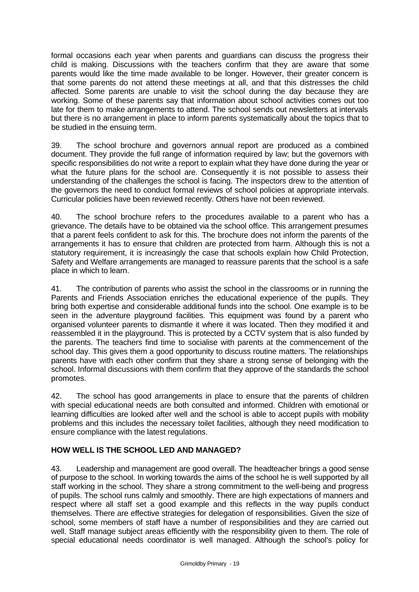formal occasions each year when parents and guardians can discuss the progress their child is making. Discussions with the teachers confirm that they are aware that some parents would like the time made available to be longer. However, their greater concern is that some parents do not attend these meetings at all, and that this distresses the child affected. Some parents are unable to visit the school during the day because they are working. Some of these parents say that information about school activities comes out too late for them to make arrangements to attend. The school sends out newsletters at intervals but there is no arrangement in place to inform parents systematically about the topics that to be studied in the ensuing term.

39. The school brochure and governors annual report are produced as a combined document. They provide the full range of information required by law; but the governors with specific responsibilities do not write a report to explain what they have done during the year or what the future plans for the school are. Consequently it is not possible to assess their understanding of the challenges the school is facing. The inspectors drew to the attention of the governors the need to conduct formal reviews of school policies at appropriate intervals. Curricular policies have been reviewed recently. Others have not been reviewed.

40. The school brochure refers to the procedures available to a parent who has a grievance. The details have to be obtained via the school office. This arrangement presumes that a parent feels confident to ask for this. The brochure does not inform the parents of the arrangements it has to ensure that children are protected from harm. Although this is not a statutory requirement, it is increasingly the case that schools explain how Child Protection, Safety and Welfare arrangements are managed to reassure parents that the school is a safe place in which to learn.

41. The contribution of parents who assist the school in the classrooms or in running the Parents and Friends Association enriches the educational experience of the pupils. They bring both expertise and considerable additional funds into the school. One example is to be seen in the adventure playground facilities. This equipment was found by a parent who organised volunteer parents to dismantle it where it was located. Then they modified it and reassembled it in the playground. This is protected by a CCTV system that is also funded by the parents. The teachers find time to socialise with parents at the commencement of the school day. This gives them a good opportunity to discuss routine matters. The relationships parents have with each other confirm that they share a strong sense of belonging with the school. Informal discussions with them confirm that they approve of the standards the school promotes.

42. The school has good arrangements in place to ensure that the parents of children with special educational needs are both consulted and informed. Children with emotional or learning difficulties are looked after well and the school is able to accept pupils with mobility problems and this includes the necessary toilet facilities, although they need modification to ensure compliance with the latest regulations.

## **HOW WELL IS THE SCHOOL LED AND MANAGED?**

43. Leadership and management are good overall. The headteacher brings a good sense of purpose to the school. In working towards the aims of the school he is well supported by all staff working in the school. They share a strong commitment to the well-being and progress of pupils. The school runs calmly and smoothly. There are high expectations of manners and respect where all staff set a good example and this reflects in the way pupils conduct themselves. There are effective strategies for delegation of responsibilities. Given the size of school, some members of staff have a number of responsibilities and they are carried out well. Staff manage subject areas efficiently with the responsibility given to them. The role of special educational needs coordinator is well managed. Although the school's policy for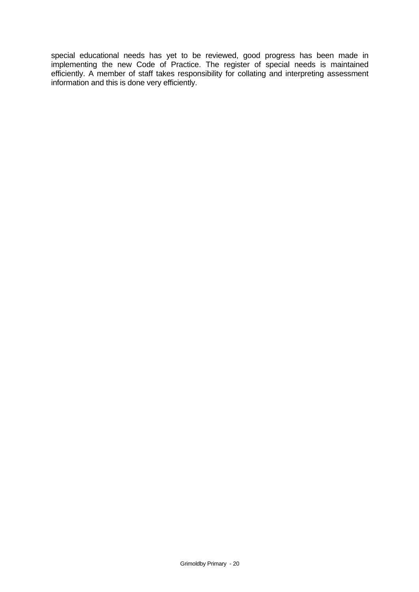special educational needs has yet to be reviewed, good progress has been made in implementing the new Code of Practice. The register of special needs is maintained efficiently. A member of staff takes responsibility for collating and interpreting assessment information and this is done very efficiently.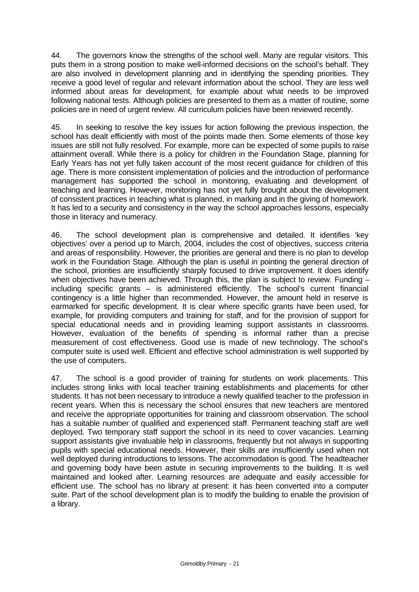44. The governors know the strengths of the school well. Many are regular visitors. This puts them in a strong position to make well-informed decisions on the school's behalf. They are also involved in development planning and in identifying the spending priorities. They receive a good level of regular and relevant information about the school. They are less well informed about areas for development, for example about what needs to be improved following national tests. Although policies are presented to them as a matter of routine, some policies are in need of urgent review. All curriculum policies have been reviewed recently.

45. In seeking to resolve the key issues for action following the previous inspection, the school has dealt efficiently with most of the points made then. Some elements of those key issues are still not fully resolved. For example, more can be expected of some pupils to raise attainment overall. While there is a policy for children in the Foundation Stage, planning for Early Years has not yet fully taken account of the most recent guidance for children of this age. There is more consistent implementation of policies and the introduction of performance management has supported the school in monitoring, evaluating and development of teaching and learning. However, monitoring has not yet fully brought about the development of consistent practices in teaching what is planned, in marking and in the giving of homework. It has led to a security and consistency in the way the school approaches lessons, especially those in literacy and numeracy.

46. The school development plan is comprehensive and detailed. It identifies 'key objectives' over a period up to March, 2004, includes the cost of objectives, success criteria and areas of responsibility. However, the priorities are general and there is no plan to develop work in the Foundation Stage. Although the plan is useful in pointing the general direction of the school, priorities are insufficiently sharply focused to drive improvement. It does identify when objectives have been achieved. Through this, the plan is subject to review. Funding – including specific grants – is administered efficiently. The school's current financial contingency is a little higher than recommended. However, the amount held in reserve is earmarked for specific development. It is clear where specific grants have been used, for example, for providing computers and training for staff, and for the provision of support for special educational needs and in providing learning support assistants in classrooms. However, evaluation of the benefits of spending is informal rather than a precise measurement of cost effectiveness. Good use is made of new technology. The school's computer suite is used well. Efficient and effective school administration is well supported by the use of computers.

47. The school is a good provider of training for students on work placements. This includes strong links with local teacher training establishments and placements for other students. It has not been necessary to introduce a newly qualified teacher to the profession in recent years. When this is necessary the school ensures that new teachers are mentored and receive the appropriate opportunities for training and classroom observation. The school has a suitable number of qualified and experienced staff. Permanent teaching staff are well deployed. Two temporary staff support the school in its need to cover vacancies. Learning support assistants give invaluable help in classrooms, frequently but not always in supporting pupils with special educational needs. However, their skills are insufficiently used when not well deployed during introductions to lessons. The accommodation is good. The headteacher and governing body have been astute in securing improvements to the building. It is well maintained and looked after. Learning resources are adequate and easily accessible for efficient use. The school has no library at present: it has been converted into a computer suite. Part of the school development plan is to modify the building to enable the provision of a library.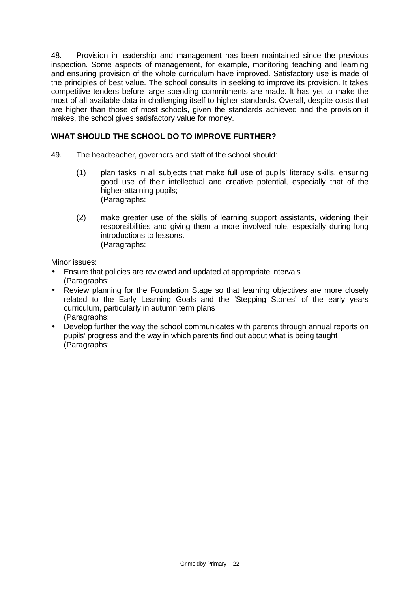48. Provision in leadership and management has been maintained since the previous inspection. Some aspects of management, for example, monitoring teaching and learning and ensuring provision of the whole curriculum have improved. Satisfactory use is made of the principles of best value. The school consults in seeking to improve its provision. It takes competitive tenders before large spending commitments are made. It has yet to make the most of all available data in challenging itself to higher standards. Overall, despite costs that are higher than those of most schools, given the standards achieved and the provision it makes, the school gives satisfactory value for money.

# **WHAT SHOULD THE SCHOOL DO TO IMPROVE FURTHER?**

- 49. The headteacher, governors and staff of the school should:
	- (1) plan tasks in all subjects that make full use of pupils' literacy skills, ensuring good use of their intellectual and creative potential, especially that of the higher-attaining pupils; (Paragraphs:
	- (2) make greater use of the skills of learning support assistants, widening their responsibilities and giving them a more involved role, especially during long introductions to lessons. (Paragraphs:

Minor issues:

- Ensure that policies are reviewed and updated at appropriate intervals (Paragraphs:
- Review planning for the Foundation Stage so that learning objectives are more closely related to the Early Learning Goals and the 'Stepping Stones' of the early years curriculum, particularly in autumn term plans (Paragraphs:
- Develop further the way the school communicates with parents through annual reports on pupils' progress and the way in which parents find out about what is being taught (Paragraphs: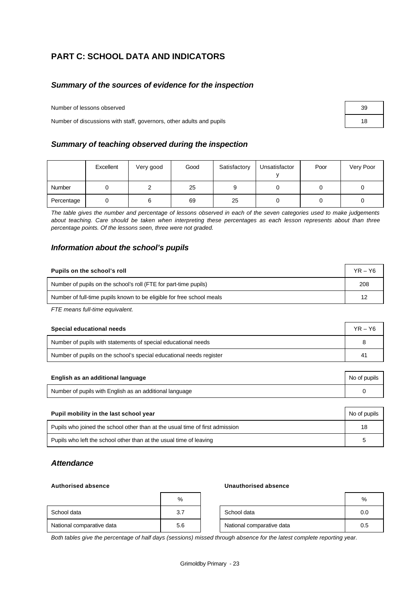# **PART C: SCHOOL DATA AND INDICATORS**

## *Summary of the sources of evidence for the inspection*

Number of lessons observed 39

Number of discussions with staff, governors, other adults and pupils 18

#### *Summary of teaching observed during the inspection*

|            | Excellent | Very good | Good | Satisfactory | Unsatisfactor | Poor | Very Poor |
|------------|-----------|-----------|------|--------------|---------------|------|-----------|
| Number     |           |           | 25   |              |               |      |           |
| Percentage |           |           | 69   | 25           |               |      |           |

*The table gives the number and percentage of lessons observed in each of the seven categories used to make judgements about teaching. Care should be taken when interpreting these percentages as each lesson represents about than three percentage points. Of the lessons seen, three were not graded.*

#### *Information about the school's pupils*

| Pupils on the school's roll                                           |     |
|-----------------------------------------------------------------------|-----|
| Number of pupils on the school's roll (FTE for part-time pupils)      | 208 |
| Number of full-time pupils known to be eligible for free school meals | 12  |

*FTE means full-time equivalent.*

| Special educational needs                                           |    |  |
|---------------------------------------------------------------------|----|--|
| Number of pupils with statements of special educational needs       |    |  |
| Number of pupils on the school's special educational needs register | 41 |  |

| English as an additional language                       | No of pupils |
|---------------------------------------------------------|--------------|
| Number of pupils with English as an additional language |              |

| Pupil mobility in the last school year                                       | No of pupils |
|------------------------------------------------------------------------------|--------------|
| Pupils who joined the school other than at the usual time of first admission | 18           |
| Pupils who left the school other than at the usual time of leaving           | b            |

#### *Attendance*

#### **Authorised absence Unauthorised absence**

|                           | %   |                           | $\%$ |
|---------------------------|-----|---------------------------|------|
| School data               | 3.7 | School data               | 0.0  |
| National comparative data | 5.6 | National comparative data | 0.5  |

*Both tables give the percentage of half days (sessions) missed through absence for the latest complete reporting year.*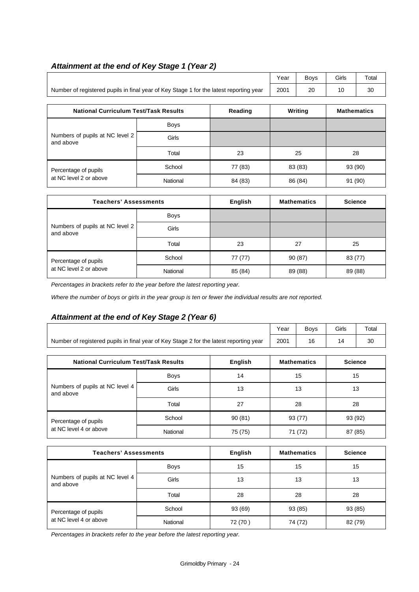# *Attainment at the end of Key Stage 1 (Year 2)*

|                                                                                        | Year | Bovs | Girls | Total |
|----------------------------------------------------------------------------------------|------|------|-------|-------|
| Number of registered pupils in final year of Key Stage 1 for the latest reporting year | 2001 | 20   |       | 30    |

| <b>National Curriculum Test/Task Results</b>   |             | Reading | Writing | <b>Mathematics</b> |  |
|------------------------------------------------|-------------|---------|---------|--------------------|--|
|                                                | <b>Boys</b> |         |         |                    |  |
| Numbers of pupils at NC level 2<br>and above   | Girls       |         |         |                    |  |
|                                                | Total       | 23      | 25      | 28                 |  |
| Percentage of pupils<br>at NC level 2 or above | School      | 77 (83) | 83 (83) | 93 (90)            |  |
|                                                | National    | 84 (83) | 86 (84) | 91 (90)            |  |

| <b>Teachers' Assessments</b>                 |             | English | <b>Mathematics</b> | <b>Science</b> |
|----------------------------------------------|-------------|---------|--------------------|----------------|
|                                              | <b>Boys</b> |         |                    |                |
| Numbers of pupils at NC level 2<br>and above | Girls       |         |                    |                |
|                                              | Total       | 23      | 27                 | 25             |
| Percentage of pupils                         | School      | 77 (77) | 90 (87)            | 83 (77)        |
| at NC level 2 or above                       | National    | 85 (84) | 89 (88)            | 89 (88)        |

*Percentages in brackets refer to the year before the latest reporting year.*

*Where the number of boys or girls in the year group is ten or fewer the individual results are not reported.*

# *Attainment at the end of Key Stage 2 (Year 6)*

|                                                                                        |             |                    | Year           | <b>Boys</b>        | Girls            | Total   |  |
|----------------------------------------------------------------------------------------|-------------|--------------------|----------------|--------------------|------------------|---------|--|
| Number of registered pupils in final year of Key Stage 2 for the latest reporting year | 2001        | 16                 | 14             | 30                 |                  |         |  |
|                                                                                        |             |                    |                |                    |                  |         |  |
| <b>National Curriculum Test/Task Results</b>                                           |             | <b>Mathematics</b> | <b>Science</b> |                    |                  |         |  |
|                                                                                        | <b>Boys</b> | 14                 |                | 15                 |                  | 15      |  |
| Numbers of pupils at NC level 4<br>and above                                           | Girls       | 13                 |                | 13                 |                  | 13      |  |
|                                                                                        | Total       | 27                 |                | 28                 |                  | 28      |  |
| Percentage of pupils                                                                   | School      | 90(81)             | 93 (77)        |                    | 93 (92)          |         |  |
| at NC level 4 or above                                                                 | National    | 75 (75)            |                | 71 (72)            |                  | 87 (85) |  |
| Teachers' Accessments                                                                  |             | Enelish            |                | <b>Mathamatica</b> | P <sub>min</sub> |         |  |

| <b>Teachers' Assessments</b>                 |             | English | <b>Mathematics</b> | <b>Science</b> |
|----------------------------------------------|-------------|---------|--------------------|----------------|
|                                              | <b>Boys</b> | 15      | 15                 | 15             |
| Numbers of pupils at NC level 4<br>and above | Girls       | 13      | 13                 | 13             |
|                                              | Total       | 28      | 28                 | 28             |
| Percentage of pupils                         | School      | 93 (69) | 93 (85)            | 93 (85)        |
| at NC level 4 or above                       | National    | 72 (70) | 74 (72)            | 82 (79)        |

*Percentages in brackets refer to the year before the latest reporting year.*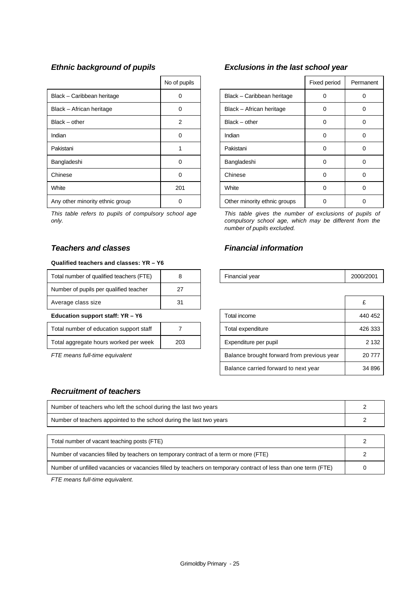|                                 | No of pupils   |                              | Fixed period | Perma |
|---------------------------------|----------------|------------------------------|--------------|-------|
| Black - Caribbean heritage      | 0              | Black - Caribbean heritage   | 0            | 0     |
| Black - African heritage        | $\Omega$       | Black - African heritage     | 0            | 0     |
| $Black - other$                 | $\overline{2}$ | $Black - other$              | $\Omega$     | 0     |
| Indian                          | 0              | Indian                       | 0            | 0     |
| Pakistani                       |                | Pakistani                    | 0            | 0     |
| Bangladeshi                     | 0              | Bangladeshi                  | 0            | 0     |
| Chinese                         | $\Omega$       | Chinese                      | 0            | 0     |
| White                           | 201            | White                        | 0            | 0     |
| Any other minority ethnic group |                | Other minority ethnic groups | ი            | 0     |

*This table refers to pupils of compulsory school age only.*

# *Teachers and classes Financial information*

#### **Qualified teachers and classes: YR – Y6**

| Total number of qualified teachers (FTE) |    | Financial year | 2000/ |
|------------------------------------------|----|----------------|-------|
| Number of pupils per qualified teacher   | 27 |                |       |
| Average class size                       | 31 |                |       |

#### **Education support staff: YR - Y6**

| Total number of education support staff |     |
|-----------------------------------------|-----|
| Total aggregate hours worked per week   | 203 |

# *Ethnic background of pupils Exclusions in the last school year*

| No of pupils   |                              | Fixed period | Permanent |
|----------------|------------------------------|--------------|-----------|
|                | Black - Caribbean heritage   |              |           |
| ი              | Black - African heritage     | 0            |           |
| $\overline{2}$ | $Black - other$              | 0            | 0         |
| ი              | Indian                       | 0            | Ω         |
|                | Pakistani                    | 0            | 0         |
| 0              | Bangladeshi                  | 0            | 0         |
| ი              | Chinese                      | 0            | 0         |
| 201            | White                        | 0            | Ω         |
|                | Other minority ethnic groups |              |           |

*This table gives the number of exclusions of pupils of compulsory school age, which may be different from the number of pupils excluded.*

| <br>$\sim$<br>Total<br>, number of<br>aualified teachers *<br>_ 11 |  | $\overline{\phantom{a}}$<br>Financial vear | 2000/2001 |
|--------------------------------------------------------------------|--|--------------------------------------------|-----------|

| Average class size                      | 31  |                                            |         |
|-----------------------------------------|-----|--------------------------------------------|---------|
| Education support staff: YR - Y6        |     | Total income                               | 440 452 |
| Total number of education support staff |     | Total expenditure                          | 426 333 |
| Total aggregate hours worked per week   | 203 | Expenditure per pupil                      | 2 1 3 2 |
| FTE means full-time equivalent          |     | Balance brought forward from previous year | 20 777  |
|                                         |     | Balance carried forward to next year       | 34 896  |

# *Recruitment of teachers*

| Number of teachers who left the school during the last two years     |  |
|----------------------------------------------------------------------|--|
| Number of teachers appointed to the school during the last two years |  |
|                                                                      |  |
| Total number of vacant topobing poets (ETE)                          |  |

| Total number of vacant teaching posts (FTE)                                                                    |  |
|----------------------------------------------------------------------------------------------------------------|--|
| Number of vacancies filled by teachers on temporary contract of a term or more (FTE)                           |  |
| Number of unfilled vacancies or vacancies filled by teachers on temporary contract of less than one term (FTE) |  |

*FTE means full-time equivalent.*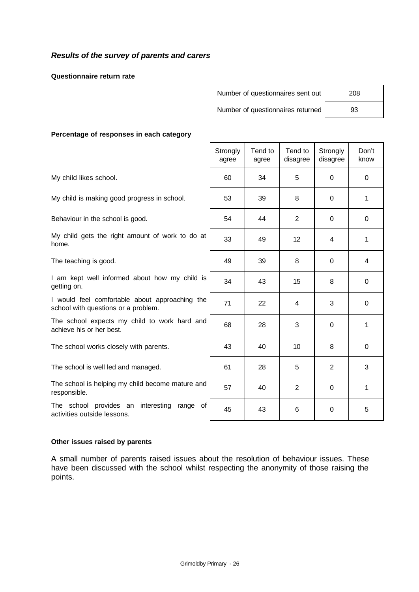# *Results of the survey of parents and carers*

**Questionnaire return rate**

| Number of questionnaires sent out | 208 |
|-----------------------------------|-----|
|-----------------------------------|-----|

Number of questionnaires returned | 93

Τ

# **Percentage of responses in each category**

|                                                                                       | Strongly<br>agree | Tend to<br>agree | Tend to<br>disagree | Strongly<br>disagree | Don't<br>know |
|---------------------------------------------------------------------------------------|-------------------|------------------|---------------------|----------------------|---------------|
| My child likes school.                                                                | 60                | 34               | 5                   | $\Omega$             | $\mathbf 0$   |
| My child is making good progress in school.                                           | 53                | 39               | 8                   | $\mathbf{0}$         | 1             |
| Behaviour in the school is good.                                                      | 54                | 44               | 2                   | 0                    | 0             |
| My child gets the right amount of work to do at<br>home.                              | 33                | 49               | 12 <sub>2</sub>     | 4                    | 1             |
| The teaching is good.                                                                 | 49                | 39               | 8                   | $\Omega$             | 4             |
| I am kept well informed about how my child is<br>getting on.                          | 34                | 43               | 15                  | 8                    | 0             |
| I would feel comfortable about approaching the<br>school with questions or a problem. | 71                | 22               | 4                   | 3                    | $\Omega$      |
| The school expects my child to work hard and<br>achieve his or her best.              | 68                | 28               | 3                   | $\Omega$             | 1             |
| The school works closely with parents.                                                | 43                | 40               | 10                  | 8                    | 0             |
| The school is well led and managed.                                                   | 61                | 28               | 5                   | 2                    | 3             |
| The school is helping my child become mature and<br>responsible.                      | 57                | 40               | $\mathbf{2}$        | $\mathbf 0$          | 1             |
| The school provides an interesting range of<br>activities outside lessons.            | 45                | 43               | 6                   | 0                    | 5             |

 $\mathsf{r}$ 

#### **Other issues raised by parents**

A small number of parents raised issues about the resolution of behaviour issues. These have been discussed with the school whilst respecting the anonymity of those raising the points.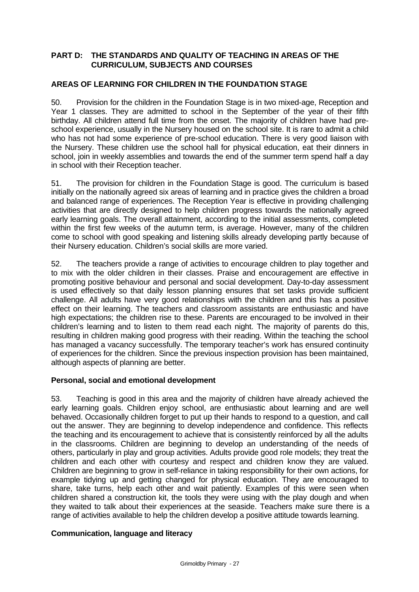# **PART D: THE STANDARDS AND QUALITY OF TEACHING IN AREAS OF THE CURRICULUM, SUBJECTS AND COURSES**

# **AREAS OF LEARNING FOR CHILDREN IN THE FOUNDATION STAGE**

50. Provision for the children in the Foundation Stage is in two mixed-age, Reception and Year 1 classes. They are admitted to school in the September of the year of their fifth birthday. All children attend full time from the onset. The majority of children have had preschool experience, usually in the Nursery housed on the school site. It is rare to admit a child who has not had some experience of pre-school education. There is very good liaison with the Nursery. These children use the school hall for physical education, eat their dinners in school, join in weekly assemblies and towards the end of the summer term spend half a day in school with their Reception teacher.

51. The provision for children in the Foundation Stage is good. The curriculum is based initially on the nationally agreed six areas of learning and in practice gives the children a broad and balanced range of experiences. The Reception Year is effective in providing challenging activities that are directly designed to help children progress towards the nationally agreed early learning goals. The overall attainment, according to the initial assessments, completed within the first few weeks of the autumn term, is average. However, many of the children come to school with good speaking and listening skills already developing partly because of their Nursery education. Children's social skills are more varied.

52. The teachers provide a range of activities to encourage children to play together and to mix with the older children in their classes. Praise and encouragement are effective in promoting positive behaviour and personal and social development. Day-to-day assessment is used effectively so that daily lesson planning ensures that set tasks provide sufficient challenge. All adults have very good relationships with the children and this has a positive effect on their learning. The teachers and classroom assistants are enthusiastic and have high expectations; the children rise to these. Parents are encouraged to be involved in their children's learning and to listen to them read each night. The majority of parents do this, resulting in children making good progress with their reading. Within the teaching the school has managed a vacancy successfully. The temporary teacher's work has ensured continuity of experiences for the children. Since the previous inspection provision has been maintained, although aspects of planning are better.

## **Personal, social and emotional development**

53. Teaching is good in this area and the majority of children have already achieved the early learning goals. Children enjoy school, are enthusiastic about learning and are well behaved. Occasionally children forget to put up their hands to respond to a question, and call out the answer. They are beginning to develop independence and confidence. This reflects the teaching and its encouragement to achieve that is consistently reinforced by all the adults in the classrooms. Children are beginning to develop an understanding of the needs of others, particularly in play and group activities. Adults provide good role models; they treat the children and each other with courtesy and respect and children know they are valued. Children are beginning to grow in self-reliance in taking responsibility for their own actions, for example tidying up and getting changed for physical education. They are encouraged to share, take turns, help each other and wait patiently. Examples of this were seen when children shared a construction kit, the tools they were using with the play dough and when they waited to talk about their experiences at the seaside. Teachers make sure there is a range of activities available to help the children develop a positive attitude towards learning.

## **Communication, language and literacy**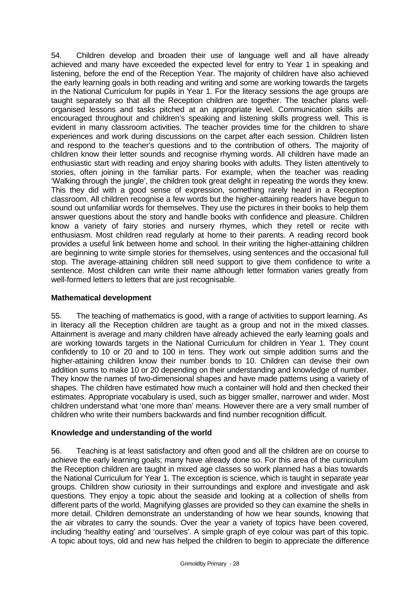54. Children develop and broaden their use of language well and all have already achieved and many have exceeded the expected level for entry to Year 1 in speaking and listening, before the end of the Reception Year. The majority of children have also achieved the early learning goals in both reading and writing and some are working towards the targets in the National Curriculum for pupils in Year 1. For the literacy sessions the age groups are taught separately so that all the Reception children are together. The teacher plans wellorganised lessons and tasks pitched at an appropriate level. Communication skills are encouraged throughout and children's speaking and listening skills progress well. This is evident in many classroom activities. The teacher provides time for the children to share experiences and work during discussions on the carpet after each session. Children listen and respond to the teacher's questions and to the contribution of others. The majority of children know their letter sounds and recognise rhyming words. All children have made an enthusiastic start with reading and enjoy sharing books with adults. They listen attentively to stories, often joining in the familiar parts. For example, when the teacher was reading 'Walking through the jungle', the children took great delight in repeating the words they knew. This they did with a good sense of expression, something rarely heard in a Reception classroom. All children recognise a few words but the higher-attaining readers have begun to sound out unfamiliar words for themselves. They use the pictures in their books to help them answer questions about the story and handle books with confidence and pleasure. Children know a variety of fairy stories and nursery rhymes, which they retell or recite with enthusiasm. Most children read regularly at home to their parents. A reading record book provides a useful link between home and school. In their writing the higher-attaining children are beginning to write simple stories for themselves, using sentences and the occasional full stop. The average-attaining children still need support to give them confidence to write a sentence. Most children can write their name although letter formation varies greatly from well-formed letters to letters that are just recognisable.

# **Mathematical development**

55. The teaching of mathematics is good, with a range of activities to support learning. As in literacy all the Reception children are taught as a group and not in the mixed classes. Attainment is average and many children have already achieved the early learning goals and are working towards targets in the National Curriculum for children in Year 1. They count confidently to 10 or 20 and to 100 in tens. They work out simple addition sums and the higher-attaining children know their number bonds to 10. Children can devise their own addition sums to make 10 or 20 depending on their understanding and knowledge of number. They know the names of two-dimensional shapes and have made patterns using a variety of shapes. The children have estimated how much a container will hold and then checked their estimates. Appropriate vocabulary is used, such as bigger smaller, narrower and wider. Most children understand what 'one more than' means. However there are a very small number of children who write their numbers backwards and find number recognition difficult.

# **Knowledge and understanding of the world**

56. Teaching is at least satisfactory and often good and all the children are on course to achieve the early learning goals; many have already done so. For this area of the curriculum the Reception children are taught in mixed age classes so work planned has a bias towards the National Curriculum for Year 1. The exception is science, which is taught in separate year groups. Children show curiosity in their surroundings and explore and investigate and ask questions. They enjoy a topic about the seaside and looking at a collection of shells from different parts of the world. Magnifying glasses are provided so they can examine the shells in more detail. Children demonstrate an understanding of how we hear sounds, knowing that the air vibrates to carry the sounds. Over the year a variety of topics have been covered, including 'healthy eating' and 'ourselves'. A simple graph of eye colour was part of this topic. A topic about toys, old and new has helped the children to begin to appreciate the difference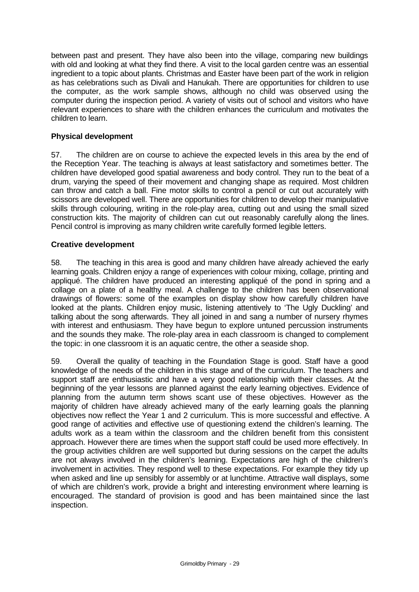between past and present. They have also been into the village, comparing new buildings with old and looking at what they find there. A visit to the local garden centre was an essential ingredient to a topic about plants. Christmas and Easter have been part of the work in religion as has celebrations such as Divali and Hanukah. There are opportunities for children to use the computer, as the work sample shows, although no child was observed using the computer during the inspection period. A variety of visits out of school and visitors who have relevant experiences to share with the children enhances the curriculum and motivates the children to learn.

# **Physical development**

57. The children are on course to achieve the expected levels in this area by the end of the Reception Year. The teaching is always at least satisfactory and sometimes better. The children have developed good spatial awareness and body control. They run to the beat of a drum, varying the speed of their movement and changing shape as required. Most children can throw and catch a ball. Fine motor skills to control a pencil or cut out accurately with scissors are developed well. There are opportunities for children to develop their manipulative skills through colouring, writing in the role-play area, cutting out and using the small sized construction kits. The majority of children can cut out reasonably carefully along the lines. Pencil control is improving as many children write carefully formed legible letters.

## **Creative development**

58. The teaching in this area is good and many children have already achieved the early learning goals. Children enjoy a range of experiences with colour mixing, collage, printing and appliqué. The children have produced an interesting appliqué of the pond in spring and a collage on a plate of a healthy meal. A challenge to the children has been observational drawings of flowers: some of the examples on display show how carefully children have looked at the plants. Children enjoy music, listening attentively to 'The Ugly Duckling' and talking about the song afterwards. They all joined in and sang a number of nursery rhymes with interest and enthusiasm. They have begun to explore untuned percussion instruments and the sounds they make. The role-play area in each classroom is changed to complement the topic: in one classroom it is an aquatic centre, the other a seaside shop.

59. Overall the quality of teaching in the Foundation Stage is good. Staff have a good knowledge of the needs of the children in this stage and of the curriculum. The teachers and support staff are enthusiastic and have a very good relationship with their classes. At the beginning of the year lessons are planned against the early learning objectives. Evidence of planning from the autumn term shows scant use of these objectives. However as the majority of children have already achieved many of the early learning goals the planning objectives now reflect the Year 1 and 2 curriculum. This is more successful and effective. A good range of activities and effective use of questioning extend the children's learning. The adults work as a team within the classroom and the children benefit from this consistent approach. However there are times when the support staff could be used more effectively. In the group activities children are well supported but during sessions on the carpet the adults are not always involved in the children's learning. Expectations are high of the children's involvement in activities. They respond well to these expectations. For example they tidy up when asked and line up sensibly for assembly or at lunchtime. Attractive wall displays, some of which are children's work, provide a bright and interesting environment where learning is encouraged. The standard of provision is good and has been maintained since the last inspection.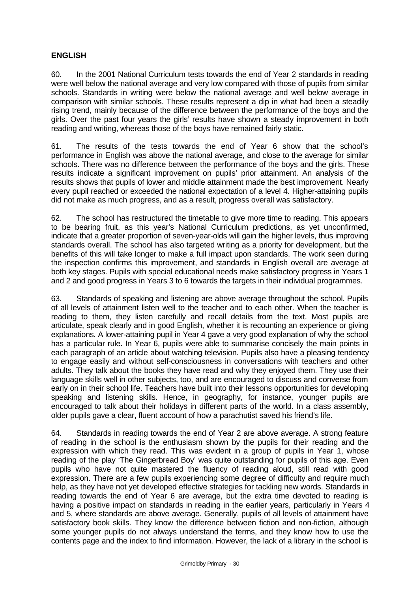# **ENGLISH**

60. In the 2001 National Curriculum tests towards the end of Year 2 standards in reading were well below the national average and very low compared with those of pupils from similar schools. Standards in writing were below the national average and well below average in comparison with similar schools. These results represent a dip in what had been a steadily rising trend, mainly because of the difference between the performance of the boys and the girls. Over the past four years the girls' results have shown a steady improvement in both reading and writing, whereas those of the boys have remained fairly static.

61. The results of the tests towards the end of Year 6 show that the school's performance in English was above the national average, and close to the average for similar schools. There was no difference between the performance of the boys and the girls. These results indicate a significant improvement on pupils' prior attainment. An analysis of the results shows that pupils of lower and middle attainment made the best improvement. Nearly every pupil reached or exceeded the national expectation of a level 4. Higher-attaining pupils did not make as much progress, and as a result, progress overall was satisfactory.

62. The school has restructured the timetable to give more time to reading. This appears to be bearing fruit, as this year's National Curriculum predictions, as yet unconfirmed, indicate that a greater proportion of seven-year-olds will gain the higher levels, thus improving standards overall. The school has also targeted writing as a priority for development, but the benefits of this will take longer to make a full impact upon standards. The work seen during the inspection confirms this improvement, and standards in English overall are average at both key stages. Pupils with special educational needs make satisfactory progress in Years 1 and 2 and good progress in Years 3 to 6 towards the targets in their individual programmes.

63. Standards of speaking and listening are above average throughout the school. Pupils of all levels of attainment listen well to the teacher and to each other. When the teacher is reading to them, they listen carefully and recall details from the text. Most pupils are articulate, speak clearly and in good English, whether it is recounting an experience or giving explanations. A lower-attaining pupil in Year 4 gave a very good explanation of why the school has a particular rule. In Year 6, pupils were able to summarise concisely the main points in each paragraph of an article about watching television. Pupils also have a pleasing tendency to engage easily and without self-consciousness in conversations with teachers and other adults. They talk about the books they have read and why they enjoyed them. They use their language skills well in other subjects, too, and are encouraged to discuss and converse from early on in their school life. Teachers have built into their lessons opportunities for developing speaking and listening skills. Hence, in geography, for instance, younger pupils are encouraged to talk about their holidays in different parts of the world. In a class assembly, older pupils gave a clear, fluent account of how a parachutist saved his friend's life.

64. Standards in reading towards the end of Year 2 are above average. A strong feature of reading in the school is the enthusiasm shown by the pupils for their reading and the expression with which they read. This was evident in a group of pupils in Year 1, whose reading of the play 'The Gingerbread Boy' was quite outstanding for pupils of this age. Even pupils who have not quite mastered the fluency of reading aloud, still read with good expression. There are a few pupils experiencing some degree of difficulty and require much help, as they have not yet developed effective strategies for tackling new words. Standards in reading towards the end of Year 6 are average, but the extra time devoted to reading is having a positive impact on standards in reading in the earlier years, particularly in Years 4 and 5, where standards are above average. Generally, pupils of all levels of attainment have satisfactory book skills. They know the difference between fiction and non-fiction, although some younger pupils do not always understand the terms, and they know how to use the contents page and the index to find information. However, the lack of a library in the school is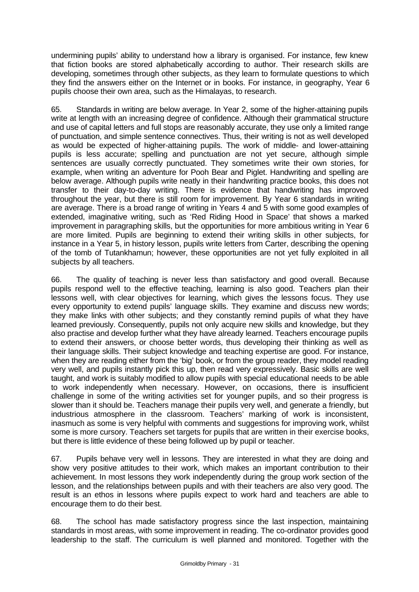undermining pupils' ability to understand how a library is organised. For instance, few knew that fiction books are stored alphabetically according to author. Their research skills are developing, sometimes through other subjects, as they learn to formulate questions to which they find the answers either on the Internet or in books. For instance, in geography, Year 6 pupils choose their own area, such as the Himalayas, to research.

65. Standards in writing are below average. In Year 2, some of the higher-attaining pupils write at length with an increasing degree of confidence. Although their grammatical structure and use of capital letters and full stops are reasonably accurate, they use only a limited range of punctuation, and simple sentence connectives. Thus, their writing is not as well developed as would be expected of higher-attaining pupils. The work of middle- and lower-attaining pupils is less accurate; spelling and punctuation are not yet secure, although simple sentences are usually correctly punctuated. They sometimes write their own stories, for example, when writing an adventure for Pooh Bear and Piglet. Handwriting and spelling are below average. Although pupils write neatly in their handwriting practice books, this does not transfer to their day-to-day writing. There is evidence that handwriting has improved throughout the year, but there is still room for improvement. By Year 6 standards in writing are average. There is a broad range of writing in Years 4 and 5 with some good examples of extended, imaginative writing, such as 'Red Riding Hood in Space' that shows a marked improvement in paragraphing skills, but the opportunities for more ambitious writing in Year 6 are more limited. Pupils are beginning to extend their writing skills in other subjects, for instance in a Year 5, in history lesson, pupils write letters from Carter, describing the opening of the tomb of Tutankhamun; however, these opportunities are not yet fully exploited in all subjects by all teachers.

66. The quality of teaching is never less than satisfactory and good overall. Because pupils respond well to the effective teaching, learning is also good. Teachers plan their lessons well, with clear objectives for learning, which gives the lessons focus. They use every opportunity to extend pupils' language skills. They examine and discuss new words; they make links with other subjects; and they constantly remind pupils of what they have learned previously. Consequently, pupils not only acquire new skills and knowledge, but they also practise and develop further what they have already learned. Teachers encourage pupils to extend their answers, or choose better words, thus developing their thinking as well as their language skills. Their subject knowledge and teaching expertise are good. For instance, when they are reading either from the 'big' book, or from the group reader, they model reading very well, and pupils instantly pick this up, then read very expressively. Basic skills are well taught, and work is suitably modified to allow pupils with special educational needs to be able to work independently when necessary. However, on occasions, there is insufficient challenge in some of the writing activities set for younger pupils, and so their progress is slower than it should be. Teachers manage their pupils very well, and generate a friendly, but industrious atmosphere in the classroom. Teachers' marking of work is inconsistent, inasmuch as some is very helpful with comments and suggestions for improving work, whilst some is more cursory. Teachers set targets for pupils that are written in their exercise books, but there is little evidence of these being followed up by pupil or teacher.

67. Pupils behave very well in lessons. They are interested in what they are doing and show very positive attitudes to their work, which makes an important contribution to their achievement. In most lessons they work independently during the group work section of the lesson, and the relationships between pupils and with their teachers are also very good. The result is an ethos in lessons where pupils expect to work hard and teachers are able to encourage them to do their best.

68. The school has made satisfactory progress since the last inspection, maintaining standards in most areas, with some improvement in reading. The co-ordinator provides good leadership to the staff. The curriculum is well planned and monitored. Together with the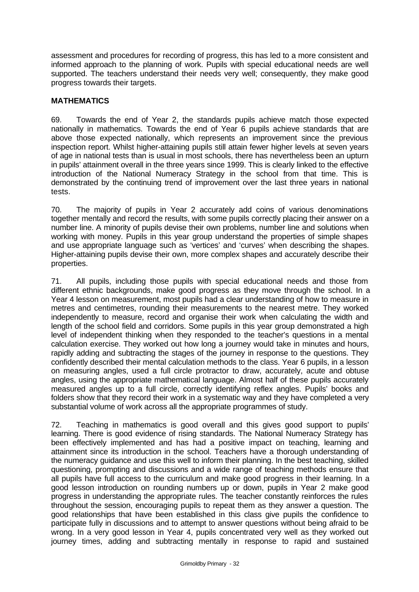assessment and procedures for recording of progress, this has led to a more consistent and informed approach to the planning of work. Pupils with special educational needs are well supported. The teachers understand their needs very well; consequently, they make good progress towards their targets.

# **MATHEMATICS**

69. Towards the end of Year 2, the standards pupils achieve match those expected nationally in mathematics. Towards the end of Year 6 pupils achieve standards that are above those expected nationally, which represents an improvement since the previous inspection report. Whilst higher-attaining pupils still attain fewer higher levels at seven years of age in national tests than is usual in most schools, there has nevertheless been an upturn in pupils' attainment overall in the three years since 1999. This is clearly linked to the effective introduction of the National Numeracy Strategy in the school from that time. This is demonstrated by the continuing trend of improvement over the last three years in national tests.

70. The majority of pupils in Year 2 accurately add coins of various denominations together mentally and record the results, with some pupils correctly placing their answer on a number line. A minority of pupils devise their own problems, number line and solutions when working with money. Pupils in this year group understand the properties of simple shapes and use appropriate language such as 'vertices' and 'curves' when describing the shapes. Higher-attaining pupils devise their own, more complex shapes and accurately describe their properties.

71. All pupils, including those pupils with special educational needs and those from different ethnic backgrounds, make good progress as they move through the school. In a Year 4 lesson on measurement, most pupils had a clear understanding of how to measure in metres and centimetres, rounding their measurements to the nearest metre. They worked independently to measure, record and organise their work when calculating the width and length of the school field and corridors. Some pupils in this year group demonstrated a high level of independent thinking when they responded to the teacher's questions in a mental calculation exercise. They worked out how long a journey would take in minutes and hours, rapidly adding and subtracting the stages of the journey in response to the questions. They confidently described their mental calculation methods to the class. Year 6 pupils, in a lesson on measuring angles, used a full circle protractor to draw, accurately, acute and obtuse angles, using the appropriate mathematical language. Almost half of these pupils accurately measured angles up to a full circle, correctly identifying reflex angles. Pupils' books and folders show that they record their work in a systematic way and they have completed a very substantial volume of work across all the appropriate programmes of study.

72. Teaching in mathematics is good overall and this gives good support to pupils' learning. There is good evidence of rising standards. The National Numeracy Strategy has been effectively implemented and has had a positive impact on teaching, learning and attainment since its introduction in the school. Teachers have a thorough understanding of the numeracy guidance and use this well to inform their planning. In the best teaching, skilled questioning, prompting and discussions and a wide range of teaching methods ensure that all pupils have full access to the curriculum and make good progress in their learning. In a good lesson introduction on rounding numbers up or down, pupils in Year 2 make good progress in understanding the appropriate rules. The teacher constantly reinforces the rules throughout the session, encouraging pupils to repeat them as they answer a question. The good relationships that have been established in this class give pupils the confidence to participate fully in discussions and to attempt to answer questions without being afraid to be wrong. In a very good lesson in Year 4, pupils concentrated very well as they worked out journey times, adding and subtracting mentally in response to rapid and sustained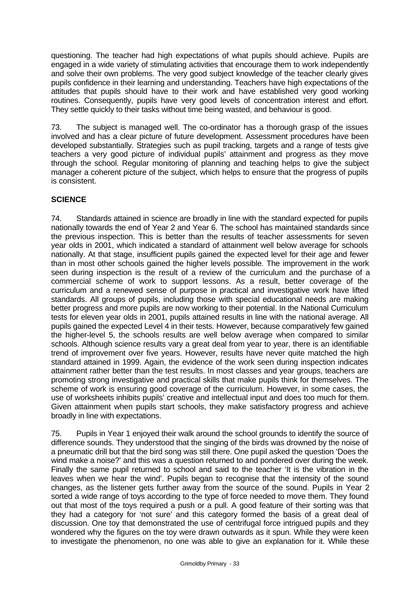questioning. The teacher had high expectations of what pupils should achieve. Pupils are engaged in a wide variety of stimulating activities that encourage them to work independently and solve their own problems. The very good subject knowledge of the teacher clearly gives pupils confidence in their learning and understanding. Teachers have high expectations of the attitudes that pupils should have to their work and have established very good working routines. Consequently, pupils have very good levels of concentration interest and effort. They settle quickly to their tasks without time being wasted, and behaviour is good.

73. The subject is managed well. The co-ordinator has a thorough grasp of the issues involved and has a clear picture of future development. Assessment procedures have been developed substantially. Strategies such as pupil tracking, targets and a range of tests give teachers a very good picture of individual pupils' attainment and progress as they move through the school. Regular monitoring of planning and teaching helps to give the subject manager a coherent picture of the subject, which helps to ensure that the progress of pupils is consistent.

# **SCIENCE**

74. Standards attained in science are broadly in line with the standard expected for pupils nationally towards the end of Year 2 and Year 6. The school has maintained standards since the previous inspection. This is better than the results of teacher assessments for seven year olds in 2001, which indicated a standard of attainment well below average for schools nationally. At that stage, insufficient pupils gained the expected level for their age and fewer than in most other schools gained the higher levels possible. The improvement in the work seen during inspection is the result of a review of the curriculum and the purchase of a commercial scheme of work to support lessons. As a result, better coverage of the curriculum and a renewed sense of purpose in practical and investigative work have lifted standards. All groups of pupils, including those with special educational needs are making better progress and more pupils are now working to their potential. In the National Curriculum tests for eleven year olds in 2001, pupils attained results in line with the national average. All pupils gained the expected Level 4 in their tests. However, because comparatively few gained the higher-level 5, the schools results are well below average when compared to similar schools. Although science results vary a great deal from year to year, there is an identifiable trend of improvement over five years. However, results have never quite matched the high standard attained in 1999. Again, the evidence of the work seen during inspection indicates attainment rather better than the test results. In most classes and year groups, teachers are promoting strong investigative and practical skills that make pupils think for themselves. The scheme of work is ensuring good coverage of the curriculum. However, in some cases, the use of worksheets inhibits pupils' creative and intellectual input and does too much for them. Given attainment when pupils start schools, they make satisfactory progress and achieve broadly in line with expectations.

75. Pupils in Year 1 enjoyed their walk around the school grounds to identify the source of difference sounds. They understood that the singing of the birds was drowned by the noise of a pneumatic drill but that the bird song was still there. One pupil asked the question 'Does the wind make a noise?' and this was a question returned to and pondered over during the week. Finally the same pupil returned to school and said to the teacher 'It is the vibration in the leaves when we hear the wind'. Pupils began to recognise that the intensity of the sound changes, as the listener gets further away from the source of the sound. Pupils in Year 2 sorted a wide range of toys according to the type of force needed to move them. They found out that most of the toys required a push or a pull. A good feature of their sorting was that they had a category for 'not sure' and this category formed the basis of a great deal of discussion. One toy that demonstrated the use of centrifugal force intrigued pupils and they wondered why the figures on the toy were drawn outwards as it spun. While they were keen to investigate the phenomenon, no one was able to give an explanation for it. While these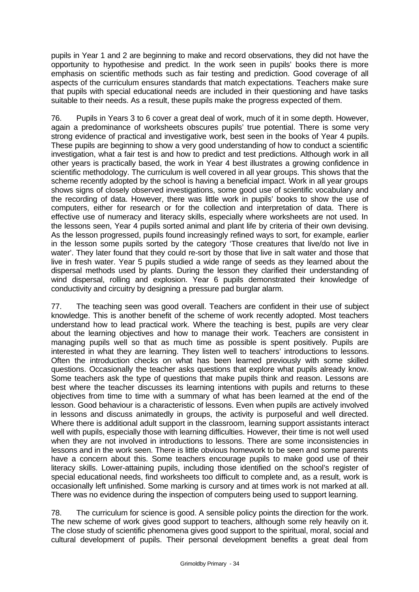pupils in Year 1 and 2 are beginning to make and record observations, they did not have the opportunity to hypothesise and predict. In the work seen in pupils' books there is more emphasis on scientific methods such as fair testing and prediction. Good coverage of all aspects of the curriculum ensures standards that match expectations. Teachers make sure that pupils with special educational needs are included in their questioning and have tasks suitable to their needs. As a result, these pupils make the progress expected of them.

76. Pupils in Years 3 to 6 cover a great deal of work, much of it in some depth. However, again a predominance of worksheets obscures pupils' true potential. There is some very strong evidence of practical and investigative work, best seen in the books of Year 4 pupils. These pupils are beginning to show a very good understanding of how to conduct a scientific investigation, what a fair test is and how to predict and test predictions. Although work in all other years is practically based, the work in Year 4 best illustrates a growing confidence in scientific methodology. The curriculum is well covered in all year groups. This shows that the scheme recently adopted by the school is having a beneficial impact. Work in all year groups shows signs of closely observed investigations, some good use of scientific vocabulary and the recording of data. However, there was little work in pupils' books to show the use of computers, either for research or for the collection and interpretation of data. There is effective use of numeracy and literacy skills, especially where worksheets are not used. In the lessons seen, Year 4 pupils sorted animal and plant life by criteria of their own devising. As the lesson progressed, pupils found increasingly refined ways to sort, for example, earlier in the lesson some pupils sorted by the category 'Those creatures that live/do not live in water'. They later found that they could re-sort by those that live in salt water and those that live in fresh water. Year 5 pupils studied a wide range of seeds as they learned about the dispersal methods used by plants. During the lesson they clarified their understanding of wind dispersal, rolling and explosion. Year 6 pupils demonstrated their knowledge of conductivity and circuitry by designing a pressure pad burglar alarm.

77. The teaching seen was good overall. Teachers are confident in their use of subject knowledge. This is another benefit of the scheme of work recently adopted. Most teachers understand how to lead practical work. Where the teaching is best, pupils are very clear about the learning objectives and how to manage their work. Teachers are consistent in managing pupils well so that as much time as possible is spent positively. Pupils are interested in what they are learning. They listen well to teachers' introductions to lessons. Often the introduction checks on what has been learned previously with some skilled questions. Occasionally the teacher asks questions that explore what pupils already know. Some teachers ask the type of questions that make pupils think and reason. Lessons are best where the teacher discusses its learning intentions with pupils and returns to these objectives from time to time with a summary of what has been learned at the end of the lesson. Good behaviour is a characteristic of lessons. Even when pupils are actively involved in lessons and discuss animatedly in groups, the activity is purposeful and well directed. Where there is additional adult support in the classroom, learning support assistants interact well with pupils, especially those with learning difficulties. However, their time is not well used when they are not involved in introductions to lessons. There are some inconsistencies in lessons and in the work seen. There is little obvious homework to be seen and some parents have a concern about this. Some teachers encourage pupils to make good use of their literacy skills. Lower-attaining pupils, including those identified on the school's register of special educational needs, find worksheets too difficult to complete and, as a result, work is occasionally left unfinished. Some marking is cursory and at times work is not marked at all. There was no evidence during the inspection of computers being used to support learning.

78. The curriculum for science is good. A sensible policy points the direction for the work. The new scheme of work gives good support to teachers, although some rely heavily on it. The close study of scientific phenomena gives good support to the spiritual, moral, social and cultural development of pupils. Their personal development benefits a great deal from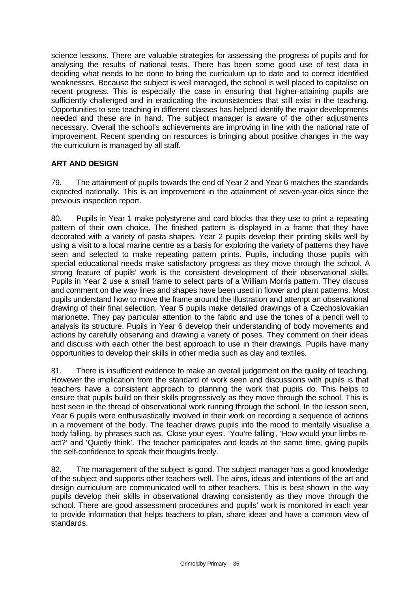science lessons. There are valuable strategies for assessing the progress of pupils and for analysing the results of national tests. There has been some good use of test data in deciding what needs to be done to bring the curriculum up to date and to correct identified weaknesses. Because the subject is well managed, the school is well placed to capitalise on recent progress. This is especially the case in ensuring that higher-attaining pupils are sufficiently challenged and in eradicating the inconsistencies that still exist in the teaching. Opportunities to see teaching in different classes has helped identify the major developments needed and these are in hand. The subject manager is aware of the other adjustments necessary. Overall the school's achievements are improving in line with the national rate of improvement. Recent spending on resources is bringing about positive changes in the way the curriculum is managed by all staff.

# **ART AND DESIGN**

79. The attainment of pupils towards the end of Year 2 and Year 6 matches the standards expected nationally. This is an improvement in the attainment of seven-year-olds since the previous inspection report.

80. Pupils in Year 1 make polystyrene and card blocks that they use to print a repeating pattern of their own choice. The finished pattern is displayed in a frame that they have decorated with a variety of pasta shapes. Year 2 pupils develop their printing skills well by using a visit to a local marine centre as a basis for exploring the variety of patterns they have seen and selected to make repeating pattern prints. Pupils, including those pupils with special educational needs make satisfactory progress as they move through the school. A strong feature of pupils' work is the consistent development of their observational skills. Pupils in Year 2 use a small frame to select parts of a William Morris pattern. They discuss and comment on the way lines and shapes have been used in flower and plant patterns. Most pupils understand how to move the frame around the illustration and attempt an observational drawing of their final selection. Year 5 pupils make detailed drawings of a Czechoslovakian marionette. They pay particular attention to the fabric and use the tones of a pencil well to analysis its structure. Pupils in Year 6 develop their understanding of body movements and actions by carefully observing and drawing a variety of poses. They comment on their ideas and discuss with each other the best approach to use in their drawings. Pupils have many opportunities to develop their skills in other media such as clay and textiles.

81. There is insufficient evidence to make an overall judgement on the quality of teaching. However the implication from the standard of work seen and discussions with pupils is that teachers have a consistent approach to planning the work that pupils do. This helps to ensure that pupils build on their skills progressively as they move through the school. This is best seen in the thread of observational work running through the school. In the lesson seen, Year 6 pupils were enthusiastically involved in their work on recording a sequence of actions in a movement of the body. The teacher draws pupils into the mood to mentally visualise a body falling, by phrases such as, 'Close your eyes', 'You're falling', 'How would your limbs react?' and 'Quietly think'. The teacher participates and leads at the same time, giving pupils the self-confidence to speak their thoughts freely.

82. The management of the subject is good. The subject manager has a good knowledge of the subject and supports other teachers well. The aims, ideas and intentions of the art and design curriculum are communicated well to other teachers. This is best shown in the way pupils develop their skills in observational drawing consistently as they move through the school. There are good assessment procedures and pupils' work is monitored in each year to provide information that helps teachers to plan, share ideas and have a common view of standards.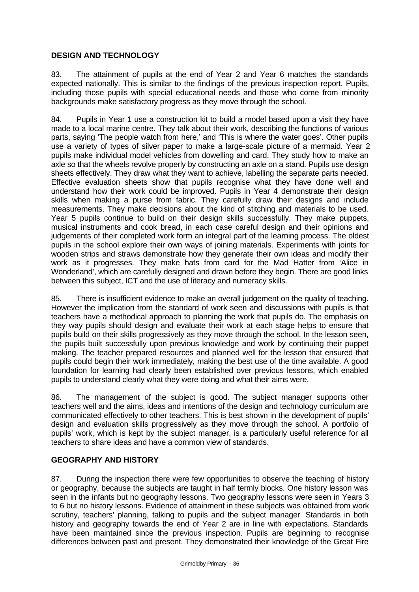# **DESIGN AND TECHNOLOGY**

83. The attainment of pupils at the end of Year 2 and Year 6 matches the standards expected nationally. This is similar to the findings of the previous inspection report. Pupils, including those pupils with special educational needs and those who come from minority backgrounds make satisfactory progress as they move through the school.

84. Pupils in Year 1 use a construction kit to build a model based upon a visit they have made to a local marine centre. They talk about their work, describing the functions of various parts, saying 'The people watch from here,' and 'This is where the water goes'. Other pupils use a variety of types of silver paper to make a large-scale picture of a mermaid. Year 2 pupils make individual model vehicles from dowelling and card. They study how to make an axle so that the wheels revolve properly by constructing an axle on a stand. Pupils use design sheets effectively. They draw what they want to achieve, labelling the separate parts needed. Effective evaluation sheets show that pupils recognise what they have done well and understand how their work could be improved. Pupils in Year 4 demonstrate their design skills when making a purse from fabric. They carefully draw their designs and include measurements. They make decisions about the kind of stitching and materials to be used. Year 5 pupils continue to build on their design skills successfully. They make puppets, musical instruments and cook bread, in each case careful design and their opinions and judgements of their completed work form an integral part of the learning process. The oldest pupils in the school explore their own ways of joining materials. Experiments with joints for wooden strips and straws demonstrate how they generate their own ideas and modify their work as it progresses. They make hats from card for the Mad Hatter from 'Alice in Wonderland', which are carefully designed and drawn before they begin. There are good links between this subject, ICT and the use of literacy and numeracy skills.

85. There is insufficient evidence to make an overall judgement on the quality of teaching. However the implication from the standard of work seen and discussions with pupils is that teachers have a methodical approach to planning the work that pupils do. The emphasis on they way pupils should design and evaluate their work at each stage helps to ensure that pupils build on their skills progressively as they move through the school. In the lesson seen, the pupils built successfully upon previous knowledge and work by continuing their puppet making. The teacher prepared resources and planned well for the lesson that ensured that pupils could begin their work immediately, making the best use of the time available. A good foundation for learning had clearly been established over previous lessons, which enabled pupils to understand clearly what they were doing and what their aims were.

86. The management of the subject is good. The subject manager supports other teachers well and the aims, ideas and intentions of the design and technology curriculum are communicated effectively to other teachers. This is best shown in the development of pupils' design and evaluation skills progressively as they move through the school. A portfolio of pupils' work, which is kept by the subject manager, is a particularly useful reference for all teachers to share ideas and have a common view of standards.

## **GEOGRAPHY AND HISTORY**

87. During the inspection there were few opportunities to observe the teaching of history or geography, because the subjects are taught in half termly blocks. One history lesson was seen in the infants but no geography lessons. Two geography lessons were seen in Years 3 to 6 but no history lessons. Evidence of attainment in these subjects was obtained from work scrutiny, teachers' planning, talking to pupils and the subject manager. Standards in both history and geography towards the end of Year 2 are in line with expectations. Standards have been maintained since the previous inspection. Pupils are beginning to recognise differences between past and present. They demonstrated their knowledge of the Great Fire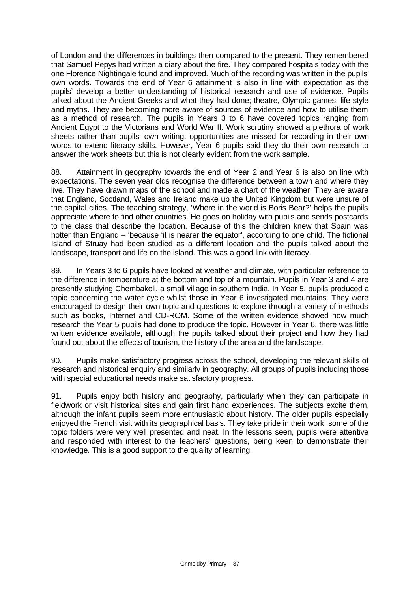of London and the differences in buildings then compared to the present. They remembered that Samuel Pepys had written a diary about the fire. They compared hospitals today with the one Florence Nightingale found and improved. Much of the recording was written in the pupils' own words. Towards the end of Year 6 attainment is also in line with expectation as the pupils' develop a better understanding of historical research and use of evidence. Pupils talked about the Ancient Greeks and what they had done; theatre, Olympic games, life style and myths. They are becoming more aware of sources of evidence and how to utilise them as a method of research. The pupils in Years 3 to 6 have covered topics ranging from Ancient Egypt to the Victorians and World War II. Work scrutiny showed a plethora of work sheets rather than pupils' own writing: opportunities are missed for recording in their own words to extend literacy skills. However, Year 6 pupils said they do their own research to answer the work sheets but this is not clearly evident from the work sample.

88. Attainment in geography towards the end of Year 2 and Year 6 is also on line with expectations. The seven year olds recognise the difference between a town and where they live. They have drawn maps of the school and made a chart of the weather. They are aware that England, Scotland, Wales and Ireland make up the United Kingdom but were unsure of the capital cities. The teaching strategy, 'Where in the world is Boris Bear?' helps the pupils appreciate where to find other countries. He goes on holiday with pupils and sends postcards to the class that describe the location. Because of this the children knew that Spain was hotter than England – 'because 'it is nearer the equator', according to one child. The fictional Island of Struay had been studied as a different location and the pupils talked about the landscape, transport and life on the island. This was a good link with literacy.

89. In Years 3 to 6 pupils have looked at weather and climate, with particular reference to the difference in temperature at the bottom and top of a mountain. Pupils in Year 3 and 4 are presently studying Chembakoli, a small village in southern India. In Year 5, pupils produced a topic concerning the water cycle whilst those in Year 6 investigated mountains. They were encouraged to design their own topic and questions to explore through a variety of methods such as books, Internet and CD-ROM. Some of the written evidence showed how much research the Year 5 pupils had done to produce the topic. However in Year 6, there was little written evidence available, although the pupils talked about their project and how they had found out about the effects of tourism, the history of the area and the landscape.

90. Pupils make satisfactory progress across the school, developing the relevant skills of research and historical enquiry and similarly in geography. All groups of pupils including those with special educational needs make satisfactory progress.

91. Pupils enjoy both history and geography, particularly when they can participate in fieldwork or visit historical sites and gain first hand experiences. The subjects excite them, although the infant pupils seem more enthusiastic about history. The older pupils especially enjoyed the French visit with its geographical basis. They take pride in their work: some of the topic folders were very well presented and neat. In the lessons seen, pupils were attentive and responded with interest to the teachers' questions, being keen to demonstrate their knowledge. This is a good support to the quality of learning.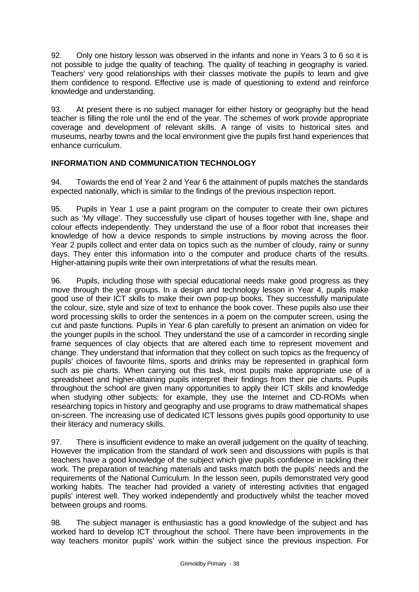92. Only one history lesson was observed in the infants and none in Years 3 to 6 so it is not possible to judge the quality of teaching. The quality of teaching in geography is varied. Teachers' very good relationships with their classes motivate the pupils to learn and give them confidence to respond. Effective use is made of questioning to extend and reinforce knowledge and understanding.

93. At present there is no subject manager for either history or geography but the head teacher is filling the role until the end of the year. The schemes of work provide appropriate coverage and development of relevant skills. A range of visits to historical sites and museums, nearby towns and the local environment give the pupils first hand experiences that enhance curriculum.

# **INFORMATION AND COMMUNICATION TECHNOLOGY**

94. Towards the end of Year 2 and Year 6 the attainment of pupils matches the standards expected nationally, which is similar to the findings of the previous inspection report.

95. Pupils in Year 1 use a paint program on the computer to create their own pictures such as 'My village'. They successfully use clipart of houses together with line, shape and colour effects independently. They understand the use of a floor robot that increases their knowledge of how a device responds to simple instructions by moving across the floor. Year 2 pupils collect and enter data on topics such as the number of cloudy, rainy or sunny days. They enter this information into o the computer and produce charts of the results. Higher-attaining pupils write their own interpretations of what the results mean.

96. Pupils, including those with special educational needs make good progress as they move through the year groups. In a design and technology lesson in Year 4, pupils make good use of their ICT skills to make their own pop-up books. They successfully manipulate the colour, size, style and size of text to enhance the book cover. These pupils also use their word processing skills to order the sentences in a poem on the computer screen, using the cut and paste functions. Pupils in Year 6 plan carefully to present an animation on video for the younger pupils in the school. They understand the use of a camcorder in recording single frame sequences of clay objects that are altered each time to represent movement and change. They understand that information that they collect on such topics as the frequency of pupils' choices of favourite films, sports and drinks may be represented in graphical form such as pie charts. When carrying out this task, most pupils make appropriate use of a spreadsheet and higher-attaining pupils interpret their findings from their pie charts. Pupils throughout the school are given many opportunities to apply their ICT skills and knowledge when studying other subjects: for example, they use the Internet and CD-ROMs when researching topics in history and geography and use programs to draw mathematical shapes on-screen. The increasing use of dedicated ICT lessons gives pupils good opportunity to use their literacy and numeracy skills.

97. There is insufficient evidence to make an overall judgement on the quality of teaching. However the implication from the standard of work seen and discussions with pupils is that teachers have a good knowledge of the subject which give pupils confidence in tackling their work. The preparation of teaching materials and tasks match both the pupils' needs and the requirements of the National Curriculum. In the lesson seen, pupils demonstrated very good working habits. The teacher had provided a variety of interesting activities that engaged pupils' interest well. They worked independently and productively whilst the teacher moved between groups and rooms.

98. The subject manager is enthusiastic has a good knowledge of the subject and has worked hard to develop ICT throughout the school. There have been improvements in the way teachers monitor pupils' work within the subject since the previous inspection. For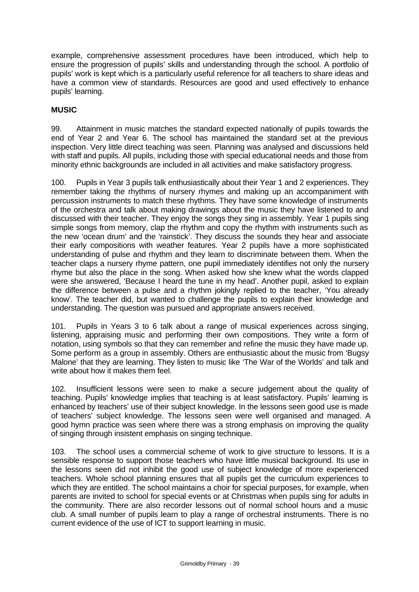example, comprehensive assessment procedures have been introduced, which help to ensure the progression of pupils' skills and understanding through the school. A portfolio of pupils' work is kept which is a particularly useful reference for all teachers to share ideas and have a common view of standards. Resources are good and used effectively to enhance pupils' learning.

# **MUSIC**

99. Attainment in music matches the standard expected nationally of pupils towards the end of Year 2 and Year 6. The school has maintained the standard set at the previous inspection. Very little direct teaching was seen. Planning was analysed and discussions held with staff and pupils. All pupils, including those with special educational needs and those from minority ethnic backgrounds are included in all activities and make satisfactory progress.

100. Pupils in Year 3 pupils talk enthusiastically about their Year 1 and 2 experiences. They remember taking the rhythms of nursery rhymes and making up an accompaniment with percussion instruments to match these rhythms. They have some knowledge of instruments of the orchestra and talk about making drawings about the music they have listened to and discussed with their teacher. They enjoy the songs they sing in assembly. Year 1 pupils sing simple songs from memory, clap the rhythm and copy the rhythm with instruments such as the new 'ocean drum' and the 'rainstick'. They discuss the sounds they hear and associate their early compositions with weather features. Year 2 pupils have a more sophisticated understanding of pulse and rhythm and they learn to discriminate between them. When the teacher claps a nursery rhyme pattern, one pupil immediately identifies not only the nursery rhyme but also the place in the song. When asked how she knew what the words clapped were she answered, 'Because I heard the tune in my head'. Another pupil, asked to explain the difference between a pulse and a rhythm jokingly replied to the teacher, 'You already know'. The teacher did, but wanted to challenge the pupils to explain their knowledge and understanding. The question was pursued and appropriate answers received.

101. Pupils in Years 3 to 6 talk about a range of musical experiences across singing, listening, appraising music and performing their own compositions. They write a form of notation, using symbols so that they can remember and refine the music they have made up. Some perform as a group in assembly. Others are enthusiastic about the music from 'Bugsy Malone' that they are learning. They listen to music like 'The War of the Worlds' and talk and write about how it makes them feel.

102. Insufficient lessons were seen to make a secure judgement about the quality of teaching. Pupils' knowledge implies that teaching is at least satisfactory. Pupils' learning is enhanced by teachers' use of their subject knowledge. In the lessons seen good use is made of teachers' subject knowledge. The lessons seen were well organised and managed. A good hymn practice was seen where there was a strong emphasis on improving the quality of singing through insistent emphasis on singing technique.

103. The school uses a commercial scheme of work to give structure to lessons. It is a sensible response to support those teachers who have little musical background. Its use in the lessons seen did not inhibit the good use of subject knowledge of more experienced teachers. Whole school planning ensures that all pupils get the curriculum experiences to which they are entitled. The school maintains a choir for special purposes, for example, when parents are invited to school for special events or at Christmas when pupils sing for adults in the community. There are also recorder lessons out of normal school hours and a music club. A small number of pupils learn to play a range of orchestral instruments. There is no current evidence of the use of ICT to support learning in music.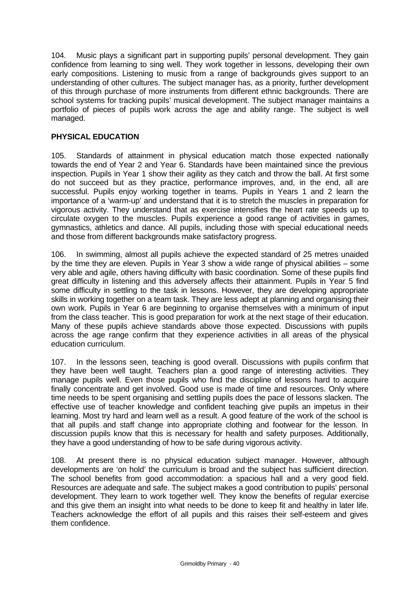104. Music plays a significant part in supporting pupils' personal development. They gain confidence from learning to sing well. They work together in lessons, developing their own early compositions. Listening to music from a range of backgrounds gives support to an understanding of other cultures. The subject manager has, as a priority, further development of this through purchase of more instruments from different ethnic backgrounds. There are school systems for tracking pupils' musical development. The subject manager maintains a portfolio of pieces of pupils work across the age and ability range. The subject is well managed.

# **PHYSICAL EDUCATION**

105. Standards of attainment in physical education match those expected nationally towards the end of Year 2 and Year 6. Standards have been maintained since the previous inspection. Pupils in Year 1 show their agility as they catch and throw the ball. At first some do not succeed but as they practice, performance improves, and, in the end, all are successful. Pupils enjoy working together in teams. Pupils in Years 1 and 2 learn the importance of a 'warm-up' and understand that it is to stretch the muscles in preparation for vigorous activity. They understand that as exercise intensifies the heart rate speeds up to circulate oxygen to the muscles. Pupils experience a good range of activities in games, gymnastics, athletics and dance. All pupils, including those with special educational needs and those from different backgrounds make satisfactory progress.

106. In swimming, almost all pupils achieve the expected standard of 25 metres unaided by the time they are eleven. Pupils in Year 3 show a wide range of physical abilities – some very able and agile, others having difficulty with basic coordination. Some of these pupils find great difficulty in listening and this adversely affects their attainment. Pupils in Year 5 find some difficulty in settling to the task in lessons. However, they are developing appropriate skills in working together on a team task. They are less adept at planning and organising their own work. Pupils in Year 6 are beginning to organise themselves with a minimum of input from the class teacher. This is good preparation for work at the next stage of their education. Many of these pupils achieve standards above those expected. Discussions with pupils across the age range confirm that they experience activities in all areas of the physical education curriculum.

107. In the lessons seen, teaching is good overall. Discussions with pupils confirm that they have been well taught. Teachers plan a good range of interesting activities. They manage pupils well. Even those pupils who find the discipline of lessons hard to acquire finally concentrate and get involved. Good use is made of time and resources. Only where time needs to be spent organising and settling pupils does the pace of lessons slacken. The effective use of teacher knowledge and confident teaching give pupils an impetus in their learning. Most try hard and learn well as a result. A good feature of the work of the school is that all pupils and staff change into appropriate clothing and footwear for the lesson. In discussion pupils know that this is necessary for health and safety purposes. Additionally, they have a good understanding of how to be safe during vigorous activity.

108. At present there is no physical education subject manager. However, although developments are 'on hold' the curriculum is broad and the subject has sufficient direction. The school benefits from good accommodation: a spacious hall and a very good field. Resources are adequate and safe. The subject makes a good contribution to pupils' personal development. They learn to work together well. They know the benefits of regular exercise and this give them an insight into what needs to be done to keep fit and healthy in later life. Teachers acknowledge the effort of all pupils and this raises their self-esteem and gives them confidence.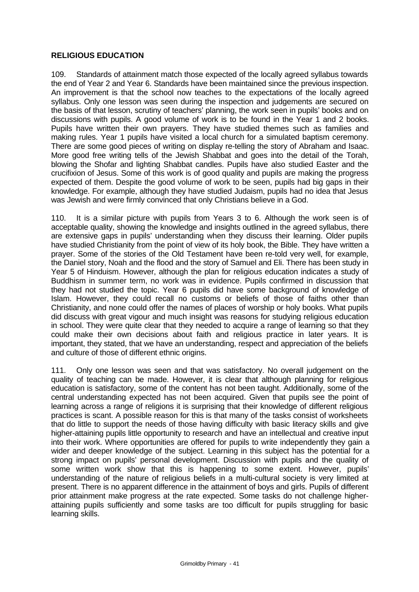# **RELIGIOUS EDUCATION**

109. Standards of attainment match those expected of the locally agreed syllabus towards the end of Year 2 and Year 6. Standards have been maintained since the previous inspection. An improvement is that the school now teaches to the expectations of the locally agreed syllabus. Only one lesson was seen during the inspection and judgements are secured on the basis of that lesson, scrutiny of teachers' planning, the work seen in pupils' books and on discussions with pupils. A good volume of work is to be found in the Year 1 and 2 books. Pupils have written their own prayers. They have studied themes such as families and making rules. Year 1 pupils have visited a local church for a simulated baptism ceremony. There are some good pieces of writing on display re-telling the story of Abraham and Isaac. More good free writing tells of the Jewish Shabbat and goes into the detail of the Torah, blowing the Shofar and lighting Shabbat candles. Pupils have also studied Easter and the crucifixion of Jesus. Some of this work is of good quality and pupils are making the progress expected of them. Despite the good volume of work to be seen, pupils had big gaps in their knowledge. For example, although they have studied Judaism, pupils had no idea that Jesus was Jewish and were firmly convinced that only Christians believe in a God.

110. It is a similar picture with pupils from Years 3 to 6. Although the work seen is of acceptable quality, showing the knowledge and insights outlined in the agreed syllabus, there are extensive gaps in pupils' understanding when they discuss their learning. Older pupils have studied Christianity from the point of view of its holy book, the Bible. They have written a prayer. Some of the stories of the Old Testament have been re-told very well, for example, the Daniel story, Noah and the flood and the story of Samuel and Eli. There has been study in Year 5 of Hinduism. However, although the plan for religious education indicates a study of Buddhism in summer term, no work was in evidence. Pupils confirmed in discussion that they had not studied the topic. Year 6 pupils did have some background of knowledge of Islam. However, they could recall no customs or beliefs of those of faiths other than Christianity, and none could offer the names of places of worship or holy books. What pupils did discuss with great vigour and much insight was reasons for studying religious education in school. They were quite clear that they needed to acquire a range of learning so that they could make their own decisions about faith and religious practice in later years. It is important, they stated, that we have an understanding, respect and appreciation of the beliefs and culture of those of different ethnic origins.

111. Only one lesson was seen and that was satisfactory. No overall judgement on the quality of teaching can be made. However, it is clear that although planning for religious education is satisfactory, some of the content has not been taught. Additionally, some of the central understanding expected has not been acquired. Given that pupils see the point of learning across a range of religions it is surprising that their knowledge of different religious practices is scant. A possible reason for this is that many of the tasks consist of worksheets that do little to support the needs of those having difficulty with basic literacy skills and give higher-attaining pupils little opportunity to research and have an intellectual and creative input into their work. Where opportunities are offered for pupils to write independently they gain a wider and deeper knowledge of the subject. Learning in this subject has the potential for a strong impact on pupils' personal development. Discussion with pupils and the quality of some written work show that this is happening to some extent. However, pupils' understanding of the nature of religious beliefs in a multi-cultural society is very limited at present. There is no apparent difference in the attainment of boys and girls. Pupils of different prior attainment make progress at the rate expected. Some tasks do not challenge higherattaining pupils sufficiently and some tasks are too difficult for pupils struggling for basic learning skills.